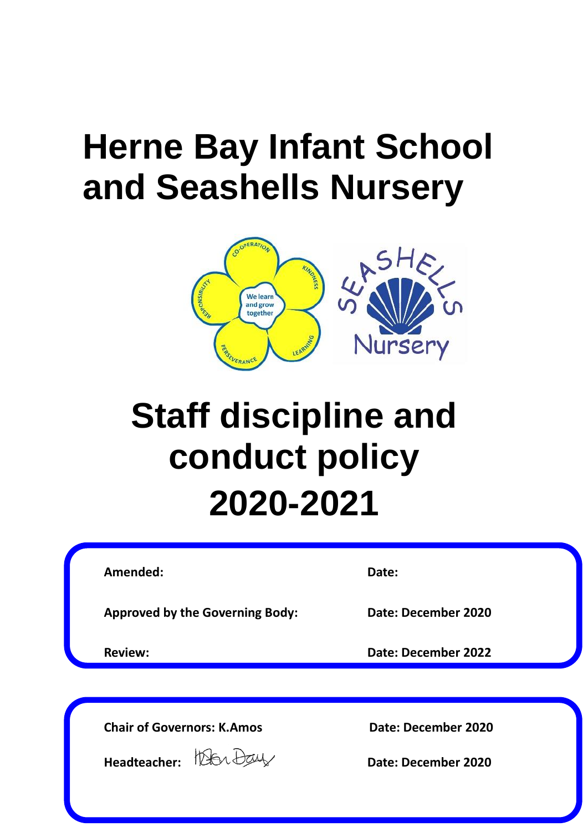# **Herne Bay Infant School and Seashells Nursery**



# **Staff discipline and conduct policy 2020-2021**

**Amended: Date:**

**Approved by the Governing Body: Date: December 2020**

**Review: Date: December 2022**

**Chair of Governors: K.Amos Date: December 2020**

**Headteacher: Date: December 2020**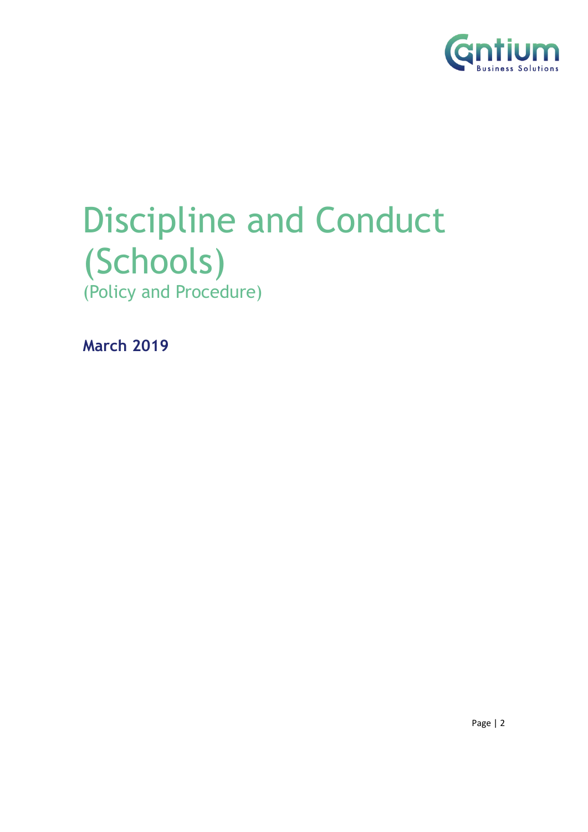

## Discipline and Conduct (Schools) (Policy and Procedure)

**March 2019**

Page | 2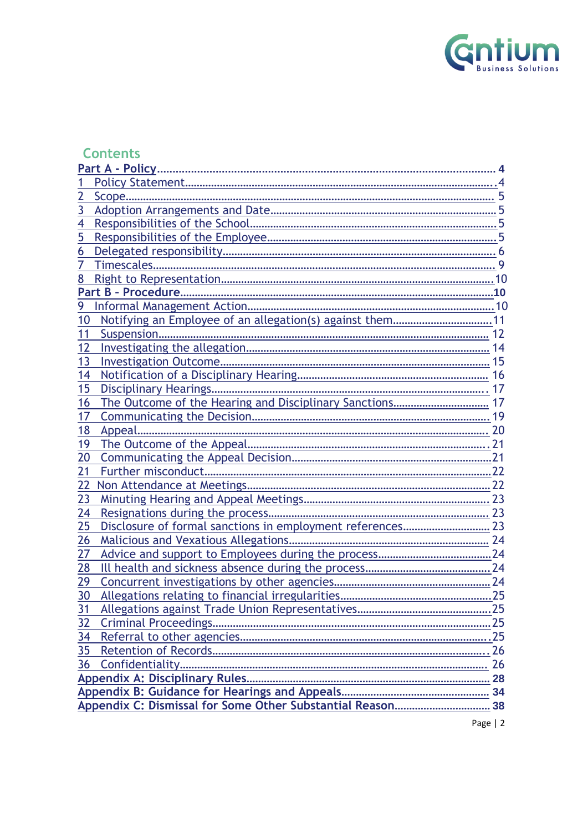

| πе<br>ıΠ |  |
|----------|--|
|          |  |
|          |  |

| Part A - Policy                                                |  |
|----------------------------------------------------------------|--|
|                                                                |  |
| $\overline{2}$                                                 |  |
| 3                                                              |  |
| 4                                                              |  |
| 5                                                              |  |
| 6                                                              |  |
| 7                                                              |  |
| 8                                                              |  |
|                                                                |  |
| 9                                                              |  |
| Notifying an Employee of an allegation(s) against them11<br>10 |  |
| 11                                                             |  |
| 12                                                             |  |
| 13                                                             |  |
| 14                                                             |  |
| 15                                                             |  |
| 16                                                             |  |
| 17                                                             |  |
| 18                                                             |  |
| 19                                                             |  |
| 20                                                             |  |
| 21                                                             |  |
| 22                                                             |  |
| 23                                                             |  |
| 24                                                             |  |
| 25                                                             |  |
| 26                                                             |  |
| 27                                                             |  |
| 28                                                             |  |
| 29                                                             |  |
| 30                                                             |  |
|                                                                |  |
| $\frac{31}{32}$                                                |  |
| 34                                                             |  |
| $\overline{35}$                                                |  |
| $\overline{36}$                                                |  |
|                                                                |  |
|                                                                |  |
| Appendix C: Dismissal for Some Other Substantial Reason 38     |  |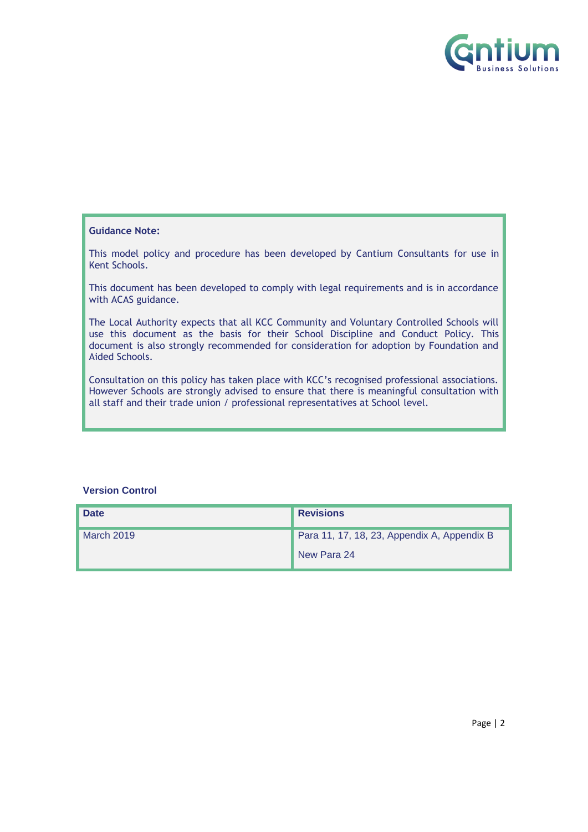

#### **Guidance Note:**

This model policy and procedure has been developed by Cantium Consultants for use in Kent Schools.

This document has been developed to comply with legal requirements and is in accordance with ACAS guidance.

The Local Authority expects that all KCC Community and Voluntary Controlled Schools will use this document as the basis for their School Discipline and Conduct Policy. This document is also strongly recommended for consideration for adoption by Foundation and Aided Schools.

Consultation on this policy has taken place with KCC's recognised professional associations. However Schools are strongly advised to ensure that there is meaningful consultation with all staff and their trade union / professional representatives at School level.

#### **Version Control**

| <b>Date</b> | <b>Revisions</b>                            |
|-------------|---------------------------------------------|
| March 2019  | Para 11, 17, 18, 23, Appendix A, Appendix B |
|             | New Para 24                                 |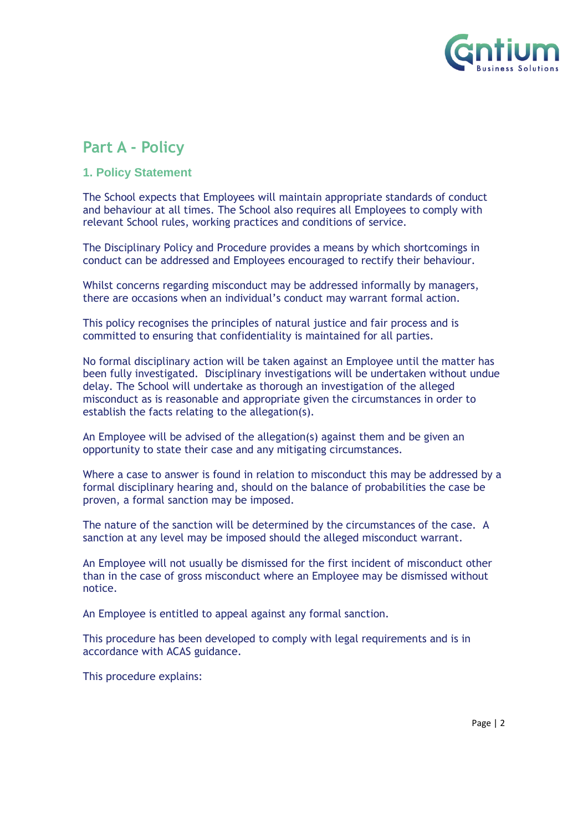

#### <span id="page-4-0"></span>**Part A - Policy**

#### <span id="page-4-1"></span>**1. Policy Statement**

The School expects that Employees will maintain appropriate standards of conduct and behaviour at all times. The School also requires all Employees to comply with relevant School rules, working practices and conditions of service.

The Disciplinary Policy and Procedure provides a means by which shortcomings in conduct can be addressed and Employees encouraged to rectify their behaviour.

Whilst concerns regarding misconduct may be addressed informally by managers, there are occasions when an individual's conduct may warrant formal action.

This policy recognises the principles of natural justice and fair process and is committed to ensuring that confidentiality is maintained for all parties.

No formal disciplinary action will be taken against an Employee until the matter has been fully investigated. Disciplinary investigations will be undertaken without undue delay. The School will undertake as thorough an investigation of the alleged misconduct as is reasonable and appropriate given the circumstances in order to establish the facts relating to the allegation(s).

An Employee will be advised of the allegation(s) against them and be given an opportunity to state their case and any mitigating circumstances.

Where a case to answer is found in relation to misconduct this may be addressed by a formal disciplinary hearing and, should on the balance of probabilities the case be proven, a formal sanction may be imposed.

The nature of the sanction will be determined by the circumstances of the case. A sanction at any level may be imposed should the alleged misconduct warrant.

An Employee will not usually be dismissed for the first incident of misconduct other than in the case of gross misconduct where an Employee may be dismissed without notice.

An Employee is entitled to appeal against any formal sanction.

This procedure has been developed to comply with legal requirements and is in accordance with ACAS guidance.

This procedure explains: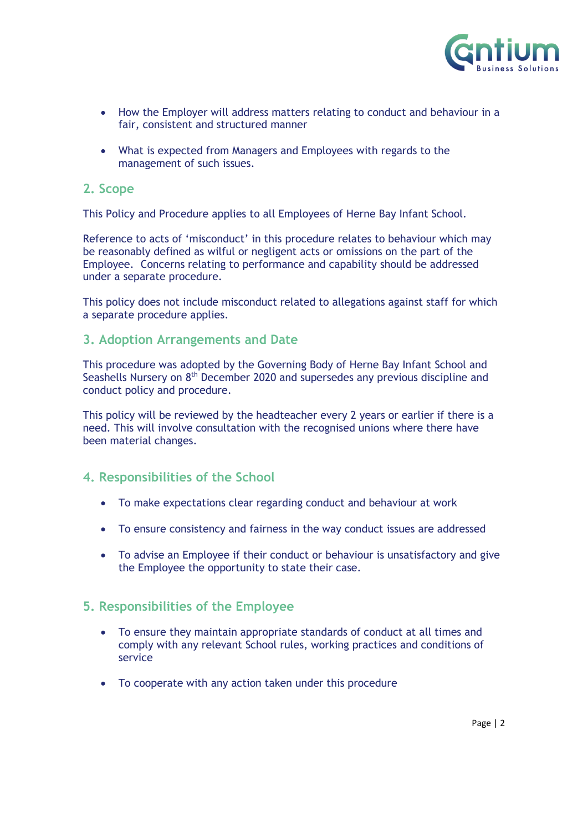

- How the Employer will address matters relating to conduct and behaviour in a fair, consistent and structured manner
- What is expected from Managers and Employees with regards to the management of such issues.

#### <span id="page-5-0"></span>**2. Scope**

This Policy and Procedure applies to all Employees of Herne Bay Infant School.

Reference to acts of 'misconduct' in this procedure relates to behaviour which may be reasonably defined as wilful or negligent acts or omissions on the part of the Employee. Concerns relating to performance and capability should be addressed under a separate procedure.

This policy does not include misconduct related to allegations against staff for which a separate procedure applies.

#### <span id="page-5-1"></span>**3. Adoption Arrangements and Date**

This procedure was adopted by the Governing Body of Herne Bay Infant School and Seashells Nursery on 8<sup>th</sup> December 2020 and supersedes any previous discipline and conduct policy and procedure.

This policy will be reviewed by the headteacher every 2 years or earlier if there is a need. This will involve consultation with the recognised unions where there have been material changes.

#### <span id="page-5-2"></span>**4. Responsibilities of the School**

- To make expectations clear regarding conduct and behaviour at work
- To ensure consistency and fairness in the way conduct issues are addressed
- To advise an Employee if their conduct or behaviour is unsatisfactory and give the Employee the opportunity to state their case.

#### <span id="page-5-3"></span>**5. Responsibilities of the Employee**

- To ensure they maintain appropriate standards of conduct at all times and comply with any relevant School rules, working practices and conditions of service
- To cooperate with any action taken under this procedure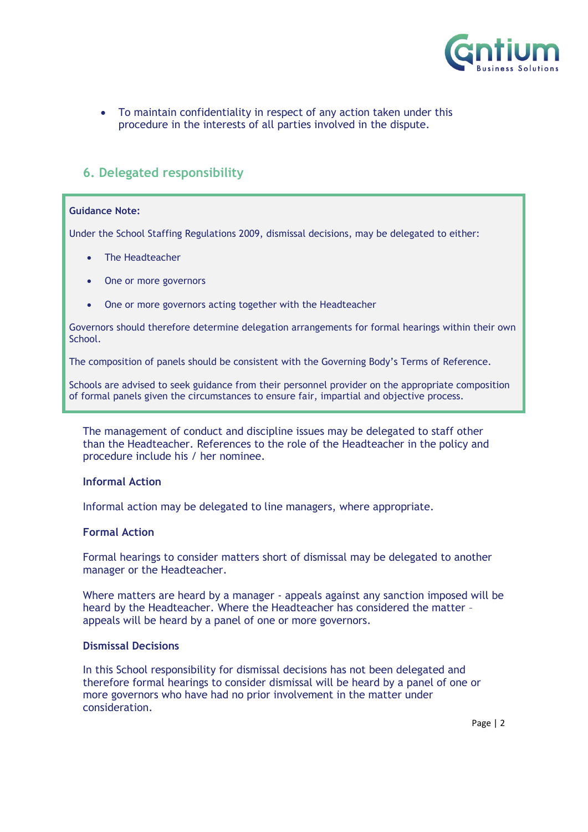

• To maintain confidentiality in respect of any action taken under this procedure in the interests of all parties involved in the dispute.

#### <span id="page-6-0"></span>**6. Delegated responsibility**

#### **Guidance Note:**

Under the School Staffing Regulations 2009, dismissal decisions, may be delegated to either:

- The Headteacher
- One or more governors
- One or more governors acting together with the Headteacher

Governors should therefore determine delegation arrangements for formal hearings within their own School.

The composition of panels should be consistent with the Governing Body's Terms of Reference.

Schools are advised to seek guidance from their personnel provider on the appropriate composition of formal panels given the circumstances to ensure fair, impartial and objective process.

The management of conduct and discipline issues may be delegated to staff other than the Headteacher. References to the role of the Headteacher in the policy and procedure include his / her nominee.

#### **Informal Action**

Informal action may be delegated to line managers, where appropriate.

#### **Formal Action**

Formal hearings to consider matters short of dismissal may be delegated to another manager or the Headteacher.

Where matters are heard by a manager - appeals against any sanction imposed will be heard by the Headteacher. Where the Headteacher has considered the matter – appeals will be heard by a panel of one or more governors.

#### **Dismissal Decisions**

In this School responsibility for dismissal decisions has not been delegated and therefore formal hearings to consider dismissal will be heard by a panel of one or more governors who have had no prior involvement in the matter under consideration.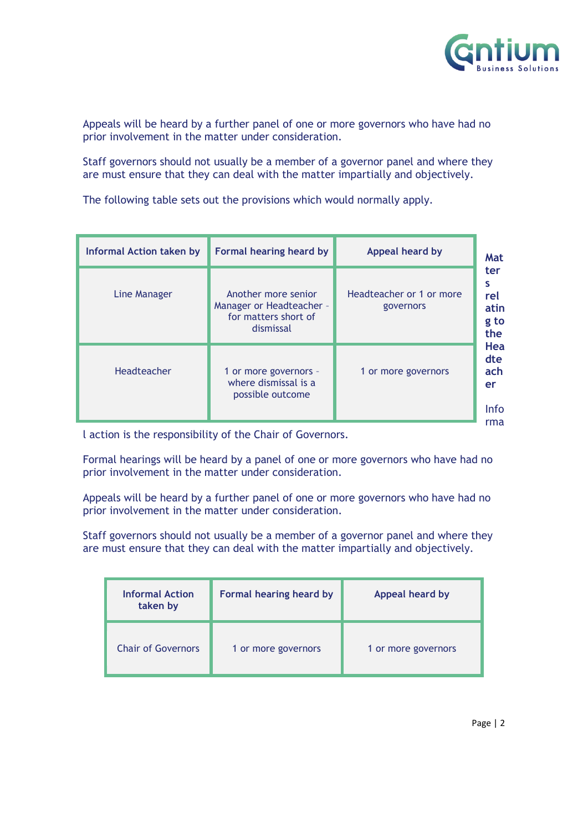

Appeals will be heard by a further panel of one or more governors who have had no prior involvement in the matter under consideration.

Staff governors should not usually be a member of a governor panel and where they are must ensure that they can deal with the matter impartially and objectively.

The following table sets out the provisions which would normally apply.

| <b>Informal Action taken by</b> | Formal hearing heard by                                                              | Appeal heard by                       | Mat                                           |
|---------------------------------|--------------------------------------------------------------------------------------|---------------------------------------|-----------------------------------------------|
| <b>Line Manager</b>             | Another more senior<br>Manager or Headteacher -<br>for matters short of<br>dismissal | Headteacher or 1 or more<br>governors | ter<br>s<br>rel<br>atin<br>g to<br>the        |
| Headteacher                     | 1 or more governors -<br>where dismissal is a<br>possible outcome                    | 1 or more governors                   | Hea<br>dte<br>ach<br>er<br><b>Info</b><br>rma |

l action is the responsibility of the Chair of Governors.

Formal hearings will be heard by a panel of one or more governors who have had no prior involvement in the matter under consideration.

Appeals will be heard by a further panel of one or more governors who have had no prior involvement in the matter under consideration.

Staff governors should not usually be a member of a governor panel and where they are must ensure that they can deal with the matter impartially and objectively.

| <b>Informal Action</b><br>taken by | Formal hearing heard by | Appeal heard by     |
|------------------------------------|-------------------------|---------------------|
| <b>Chair of Governors</b>          | 1 or more governors     | 1 or more governors |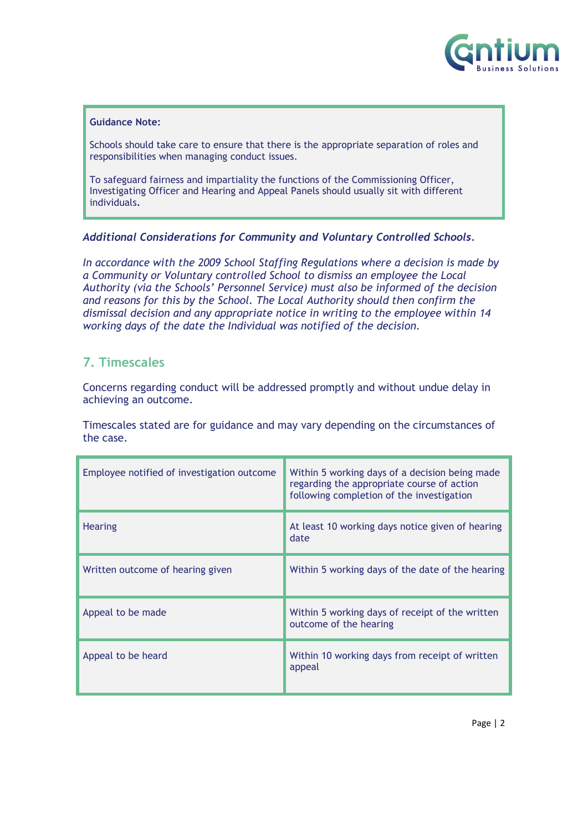

#### **Guidance Note:**

Schools should take care to ensure that there is the appropriate separation of roles and responsibilities when managing conduct issues.

To safeguard fairness and impartiality the functions of the Commissioning Officer, Investigating Officer and Hearing and Appeal Panels should usually sit with different individuals**.**

#### *Additional Considerations for Community and Voluntary Controlled Schools.*

*In accordance with the 2009 School Staffing Regulations where a decision is made by a Community or Voluntary controlled School to dismiss an employee the Local Authority (via the Schools' Personnel Service) must also be informed of the decision and reasons for this by the School. The Local Authority should then confirm the dismissal decision and any appropriate notice in writing to the employee within 14 working days of the date the Individual was notified of the decision.*

#### <span id="page-8-0"></span>**7. Timescales**

Concerns regarding conduct will be addressed promptly and without undue delay in achieving an outcome.

Timescales stated are for guidance and may vary depending on the circumstances of the case.

| Employee notified of investigation outcome | Within 5 working days of a decision being made<br>regarding the appropriate course of action<br>following completion of the investigation |
|--------------------------------------------|-------------------------------------------------------------------------------------------------------------------------------------------|
| <b>Hearing</b>                             | At least 10 working days notice given of hearing<br>date                                                                                  |
| Written outcome of hearing given           | Within 5 working days of the date of the hearing                                                                                          |
| Appeal to be made                          | Within 5 working days of receipt of the written<br>outcome of the hearing                                                                 |
| Appeal to be heard                         | Within 10 working days from receipt of written<br>appeal                                                                                  |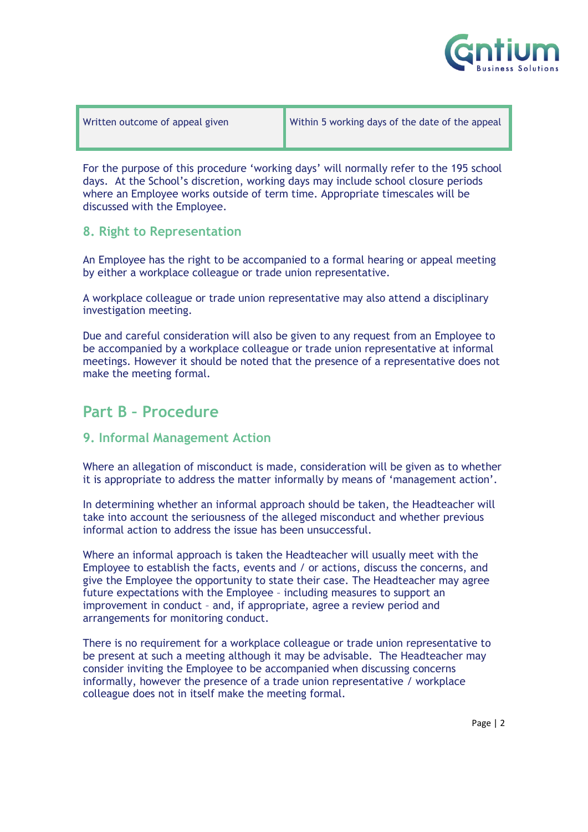

For the purpose of this procedure 'working days' will normally refer to the 195 school days. At the School's discretion, working days may include school closure periods where an Employee works outside of term time. Appropriate timescales will be discussed with the Employee.

#### <span id="page-9-0"></span>**8. Right to Representation**

An Employee has the right to be accompanied to a formal hearing or appeal meeting by either a workplace colleague or trade union representative.

A workplace colleague or trade union representative may also attend a disciplinary investigation meeting.

Due and careful consideration will also be given to any request from an Employee to be accompanied by a workplace colleague or trade union representative at informal meetings. However it should be noted that the presence of a representative does not make the meeting formal.

#### <span id="page-9-1"></span>**Part B – Procedure**

#### <span id="page-9-2"></span>**9. Informal Management Action**

Where an allegation of misconduct is made, consideration will be given as to whether it is appropriate to address the matter informally by means of 'management action'.

In determining whether an informal approach should be taken, the Headteacher will take into account the seriousness of the alleged misconduct and whether previous informal action to address the issue has been unsuccessful.

Where an informal approach is taken the Headteacher will usually meet with the Employee to establish the facts, events and / or actions, discuss the concerns, and give the Employee the opportunity to state their case. The Headteacher may agree future expectations with the Employee – including measures to support an improvement in conduct – and, if appropriate, agree a review period and arrangements for monitoring conduct.

There is no requirement for a workplace colleague or trade union representative to be present at such a meeting although it may be advisable. The Headteacher may consider inviting the Employee to be accompanied when discussing concerns informally, however the presence of a trade union representative / workplace colleague does not in itself make the meeting formal.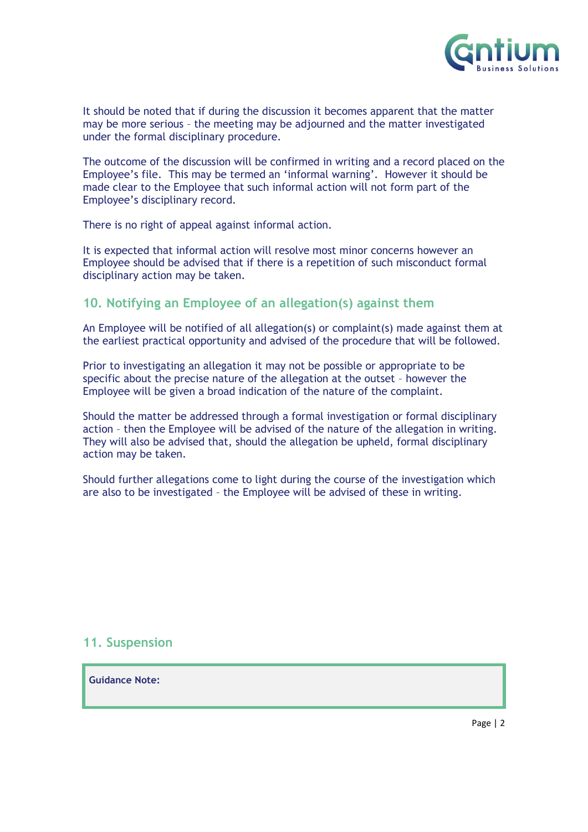

It should be noted that if during the discussion it becomes apparent that the matter may be more serious – the meeting may be adjourned and the matter investigated under the formal disciplinary procedure.

The outcome of the discussion will be confirmed in writing and a record placed on the Employee's file. This may be termed an 'informal warning'. However it should be made clear to the Employee that such informal action will not form part of the Employee's disciplinary record.

There is no right of appeal against informal action.

It is expected that informal action will resolve most minor concerns however an Employee should be advised that if there is a repetition of such misconduct formal disciplinary action may be taken.

#### <span id="page-10-0"></span>**10. Notifying an Employee of an allegation(s) against them**

An Employee will be notified of all allegation(s) or complaint(s) made against them at the earliest practical opportunity and advised of the procedure that will be followed.

Prior to investigating an allegation it may not be possible or appropriate to be specific about the precise nature of the allegation at the outset – however the Employee will be given a broad indication of the nature of the complaint.

Should the matter be addressed through a formal investigation or formal disciplinary action – then the Employee will be advised of the nature of the allegation in writing. They will also be advised that, should the allegation be upheld, formal disciplinary action may be taken.

Should further allegations come to light during the course of the investigation which are also to be investigated – the Employee will be advised of these in writing.

#### <span id="page-10-1"></span>**11. Suspension**

**Guidance Note:**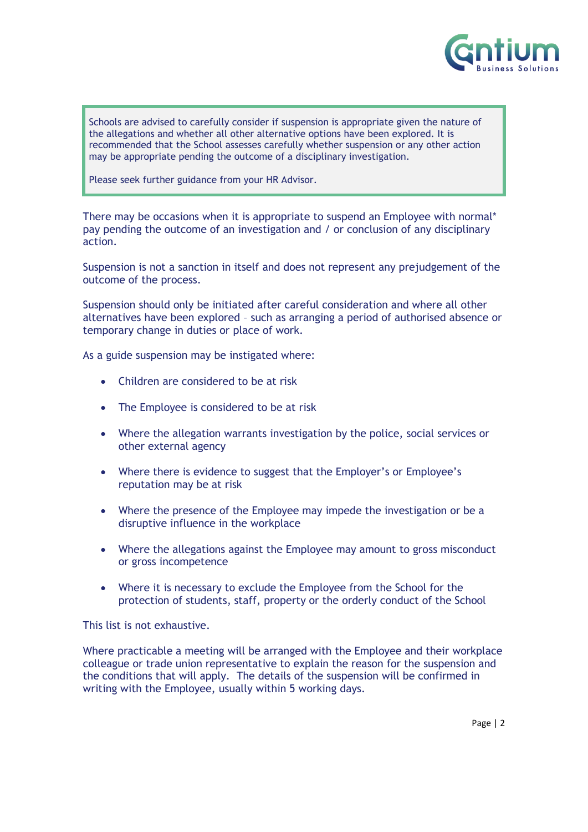

Schools are advised to carefully consider if suspension is appropriate given the nature of the allegations and whether all other alternative options have been explored. It is recommended that the School assesses carefully whether suspension or any other action may be appropriate pending the outcome of a disciplinary investigation.

Please seek further guidance from your HR Advisor.

There may be occasions when it is appropriate to suspend an Employee with normal\* pay pending the outcome of an investigation and / or conclusion of any disciplinary action.

Suspension is not a sanction in itself and does not represent any prejudgement of the outcome of the process.

Suspension should only be initiated after careful consideration and where all other alternatives have been explored – such as arranging a period of authorised absence or temporary change in duties or place of work.

As a guide suspension may be instigated where:

- Children are considered to be at risk
- The Employee is considered to be at risk
- Where the allegation warrants investigation by the police, social services or other external agency
- Where there is evidence to suggest that the Employer's or Employee's reputation may be at risk
- Where the presence of the Employee may impede the investigation or be a disruptive influence in the workplace
- Where the allegations against the Employee may amount to gross misconduct or gross incompetence
- Where it is necessary to exclude the Employee from the School for the protection of students, staff, property or the orderly conduct of the School

This list is not exhaustive.

Where practicable a meeting will be arranged with the Employee and their workplace colleague or trade union representative to explain the reason for the suspension and the conditions that will apply. The details of the suspension will be confirmed in writing with the Employee, usually within 5 working days.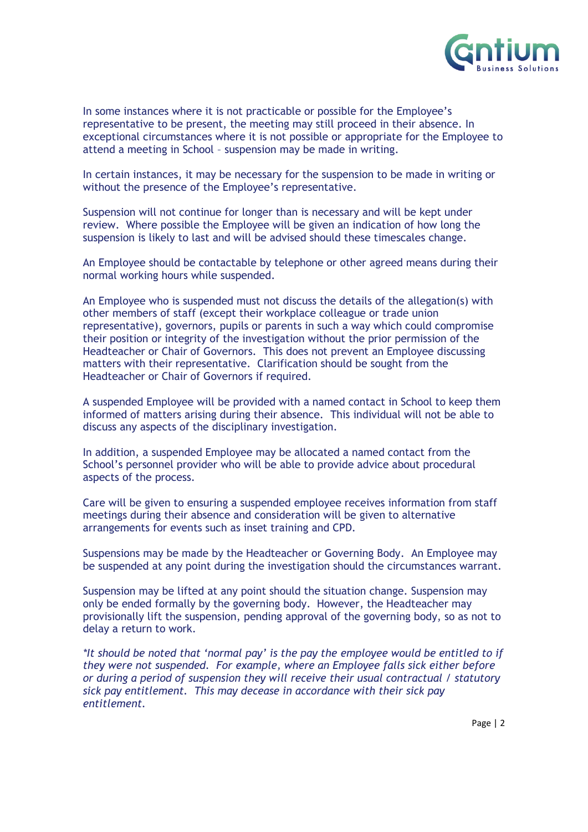

In some instances where it is not practicable or possible for the Employee's representative to be present, the meeting may still proceed in their absence. In exceptional circumstances where it is not possible or appropriate for the Employee to attend a meeting in School – suspension may be made in writing.

In certain instances, it may be necessary for the suspension to be made in writing or without the presence of the Employee's representative.

Suspension will not continue for longer than is necessary and will be kept under review. Where possible the Employee will be given an indication of how long the suspension is likely to last and will be advised should these timescales change.

An Employee should be contactable by telephone or other agreed means during their normal working hours while suspended.

An Employee who is suspended must not discuss the details of the allegation(s) with other members of staff (except their workplace colleague or trade union representative), governors, pupils or parents in such a way which could compromise their position or integrity of the investigation without the prior permission of the Headteacher or Chair of Governors. This does not prevent an Employee discussing matters with their representative. Clarification should be sought from the Headteacher or Chair of Governors if required.

A suspended Employee will be provided with a named contact in School to keep them informed of matters arising during their absence. This individual will not be able to discuss any aspects of the disciplinary investigation.

In addition, a suspended Employee may be allocated a named contact from the School's personnel provider who will be able to provide advice about procedural aspects of the process.

Care will be given to ensuring a suspended employee receives information from staff meetings during their absence and consideration will be given to alternative arrangements for events such as inset training and CPD.

Suspensions may be made by the Headteacher or Governing Body. An Employee may be suspended at any point during the investigation should the circumstances warrant.

Suspension may be lifted at any point should the situation change. Suspension may only be ended formally by the governing body. However, the Headteacher may provisionally lift the suspension, pending approval of the governing body, so as not to delay a return to work.

*\*It should be noted that 'normal pay' is the pay the employee would be entitled to if they were not suspended. For example, where an Employee falls sick either before or during a period of suspension they will receive their usual contractual / statutory sick pay entitlement. This may decease in accordance with their sick pay entitlement.*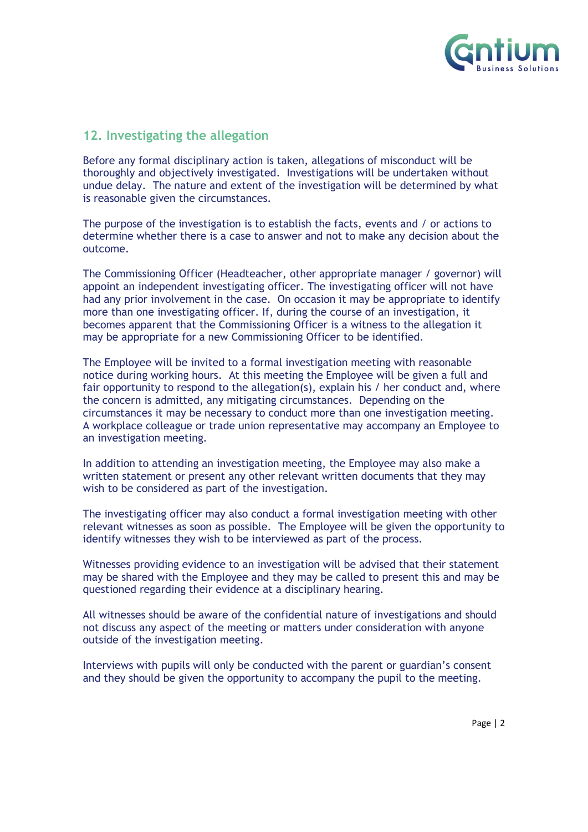

#### <span id="page-13-0"></span>**12. Investigating the allegation**

Before any formal disciplinary action is taken, allegations of misconduct will be thoroughly and objectively investigated. Investigations will be undertaken without undue delay. The nature and extent of the investigation will be determined by what is reasonable given the circumstances.

The purpose of the investigation is to establish the facts, events and / or actions to determine whether there is a case to answer and not to make any decision about the outcome.

The Commissioning Officer (Headteacher, other appropriate manager / governor) will appoint an independent investigating officer. The investigating officer will not have had any prior involvement in the case. On occasion it may be appropriate to identify more than one investigating officer. If, during the course of an investigation, it becomes apparent that the Commissioning Officer is a witness to the allegation it may be appropriate for a new Commissioning Officer to be identified.

The Employee will be invited to a formal investigation meeting with reasonable notice during working hours. At this meeting the Employee will be given a full and fair opportunity to respond to the allegation(s), explain his / her conduct and, where the concern is admitted, any mitigating circumstances. Depending on the circumstances it may be necessary to conduct more than one investigation meeting. A workplace colleague or trade union representative may accompany an Employee to an investigation meeting.

In addition to attending an investigation meeting, the Employee may also make a written statement or present any other relevant written documents that they may wish to be considered as part of the investigation.

The investigating officer may also conduct a formal investigation meeting with other relevant witnesses as soon as possible. The Employee will be given the opportunity to identify witnesses they wish to be interviewed as part of the process.

Witnesses providing evidence to an investigation will be advised that their statement may be shared with the Employee and they may be called to present this and may be questioned regarding their evidence at a disciplinary hearing.

All witnesses should be aware of the confidential nature of investigations and should not discuss any aspect of the meeting or matters under consideration with anyone outside of the investigation meeting.

Interviews with pupils will only be conducted with the parent or guardian's consent and they should be given the opportunity to accompany the pupil to the meeting.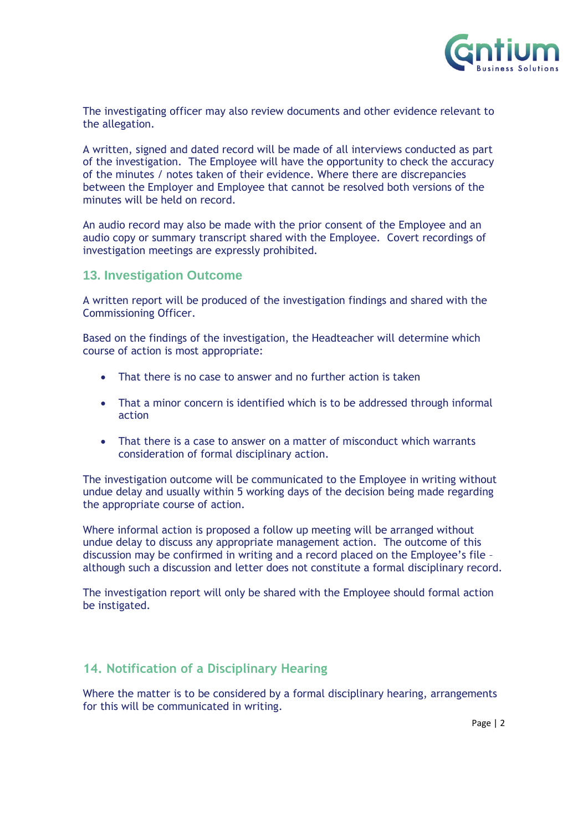

The investigating officer may also review documents and other evidence relevant to the allegation.

A written, signed and dated record will be made of all interviews conducted as part of the investigation. The Employee will have the opportunity to check the accuracy of the minutes / notes taken of their evidence. Where there are discrepancies between the Employer and Employee that cannot be resolved both versions of the minutes will be held on record.

An audio record may also be made with the prior consent of the Employee and an audio copy or summary transcript shared with the Employee. Covert recordings of investigation meetings are expressly prohibited.

#### <span id="page-14-0"></span>**13. Investigation Outcome**

A written report will be produced of the investigation findings and shared with the Commissioning Officer.

Based on the findings of the investigation, the Headteacher will determine which course of action is most appropriate:

- That there is no case to answer and no further action is taken
- That a minor concern is identified which is to be addressed through informal action
- That there is a case to answer on a matter of misconduct which warrants consideration of formal disciplinary action.

The investigation outcome will be communicated to the Employee in writing without undue delay and usually within 5 working days of the decision being made regarding the appropriate course of action.

Where informal action is proposed a follow up meeting will be arranged without undue delay to discuss any appropriate management action. The outcome of this discussion may be confirmed in writing and a record placed on the Employee's file – although such a discussion and letter does not constitute a formal disciplinary record.

The investigation report will only be shared with the Employee should formal action be instigated.

#### <span id="page-14-1"></span>**14. Notification of a Disciplinary Hearing**

Where the matter is to be considered by a formal disciplinary hearing, arrangements for this will be communicated in writing.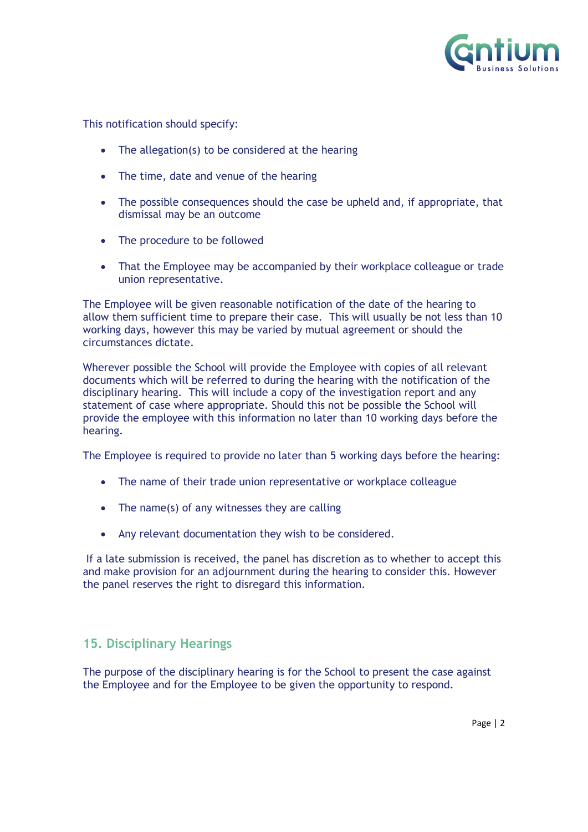

This notification should specify:

- The allegation(s) to be considered at the hearing
- The time, date and venue of the hearing
- The possible consequences should the case be upheld and, if appropriate, that dismissal may be an outcome
- The procedure to be followed
- That the Employee may be accompanied by their workplace colleague or trade union representative.

The Employee will be given reasonable notification of the date of the hearing to allow them sufficient time to prepare their case. This will usually be not less than 10 working days, however this may be varied by mutual agreement or should the circumstances dictate.

Wherever possible the School will provide the Employee with copies of all relevant documents which will be referred to during the hearing with the notification of the disciplinary hearing. This will include a copy of the investigation report and any statement of case where appropriate. Should this not be possible the School will provide the employee with this information no later than 10 working days before the hearing.

The Employee is required to provide no later than 5 working days before the hearing:

- The name of their trade union representative or workplace colleague
- The name(s) of any witnesses they are calling
- Any relevant documentation they wish to be considered.

If a late submission is received, the panel has discretion as to whether to accept this and make provision for an adjournment during the hearing to consider this. However the panel reserves the right to disregard this information.

#### <span id="page-15-0"></span>**15. Disciplinary Hearings**

The purpose of the disciplinary hearing is for the School to present the case against the Employee and for the Employee to be given the opportunity to respond.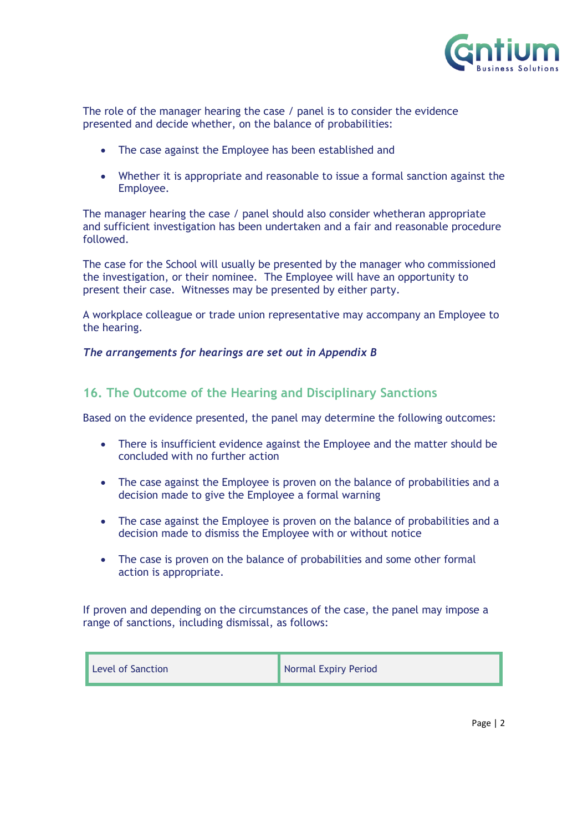

The role of the manager hearing the case / panel is to consider the evidence presented and decide whether, on the balance of probabilities:

- The case against the Employee has been established and
- Whether it is appropriate and reasonable to issue a formal sanction against the Employee.

The manager hearing the case / panel should also consider whetheran appropriate and sufficient investigation has been undertaken and a fair and reasonable procedure followed.

The case for the School will usually be presented by the manager who commissioned the investigation, or their nominee. The Employee will have an opportunity to present their case. Witnesses may be presented by either party.

A workplace colleague or trade union representative may accompany an Employee to the hearing.

#### *The arrangements for hearings are set out in Appendix B*

#### <span id="page-16-0"></span>**16. The Outcome of the Hearing and Disciplinary Sanctions**

Based on the evidence presented, the panel may determine the following outcomes:

- There is insufficient evidence against the Employee and the matter should be concluded with no further action
- The case against the Employee is proven on the balance of probabilities and a decision made to give the Employee a formal warning
- The case against the Employee is proven on the balance of probabilities and a decision made to dismiss the Employee with or without notice
- The case is proven on the balance of probabilities and some other formal action is appropriate.

If proven and depending on the circumstances of the case, the panel may impose a range of sanctions, including dismissal, as follows:

| Level of Sanction | Normal Expiry Period |
|-------------------|----------------------|
|                   |                      |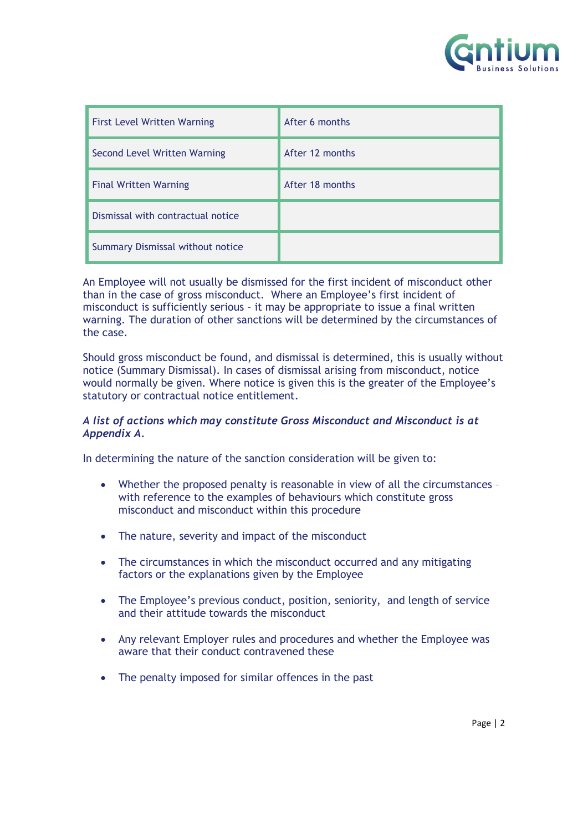

| <b>First Level Written Warning</b> | After 6 months  |
|------------------------------------|-----------------|
| Second Level Written Warning       | After 12 months |
| <b>Final Written Warning</b>       | After 18 months |
| Dismissal with contractual notice  |                 |
| Summary Dismissal without notice   |                 |

An Employee will not usually be dismissed for the first incident of misconduct other than in the case of gross misconduct. Where an Employee's first incident of misconduct is sufficiently serious – it may be appropriate to issue a final written warning. The duration of other sanctions will be determined by the circumstances of the case.

Should gross misconduct be found, and dismissal is determined, this is usually without notice (Summary Dismissal). In cases of dismissal arising from misconduct, notice would normally be given. Where notice is given this is the greater of the Employee's statutory or contractual notice entitlement.

#### *A list of actions which may constitute Gross Misconduct and Misconduct is at Appendix A.*

In determining the nature of the sanction consideration will be given to:

- Whether the proposed penalty is reasonable in view of all the circumstances with reference to the examples of behaviours which constitute gross misconduct and misconduct within this procedure
- The nature, severity and impact of the misconduct
- The circumstances in which the misconduct occurred and any mitigating factors or the explanations given by the Employee
- The Employee's previous conduct, position, seniority, and length of service and their attitude towards the misconduct
- Any relevant Employer rules and procedures and whether the Employee was aware that their conduct contravened these
- The penalty imposed for similar offences in the past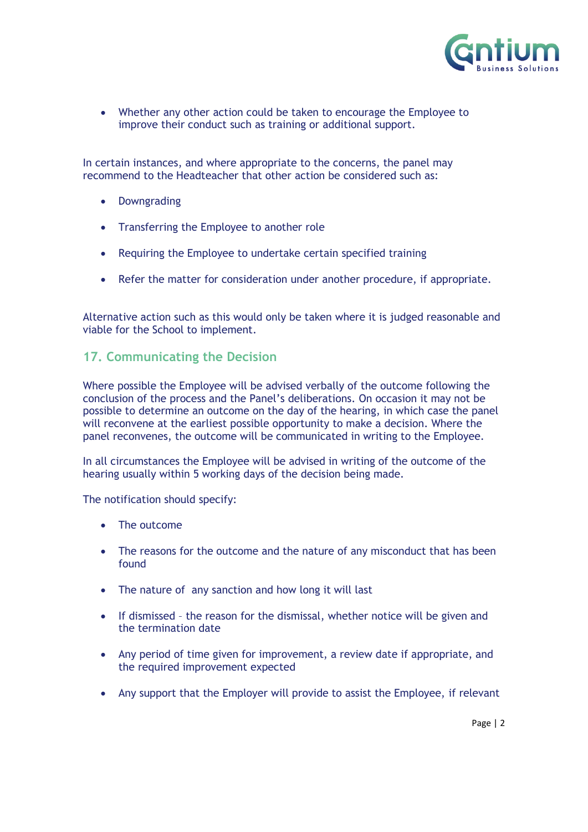

• Whether any other action could be taken to encourage the Employee to improve their conduct such as training or additional support.

In certain instances, and where appropriate to the concerns, the panel may recommend to the Headteacher that other action be considered such as:

- Downgrading
- Transferring the Employee to another role
- Requiring the Employee to undertake certain specified training
- Refer the matter for consideration under another procedure, if appropriate.

Alternative action such as this would only be taken where it is judged reasonable and viable for the School to implement.

#### <span id="page-18-0"></span>**17. Communicating the Decision**

Where possible the Employee will be advised verbally of the outcome following the conclusion of the process and the Panel's deliberations. On occasion it may not be possible to determine an outcome on the day of the hearing, in which case the panel will reconvene at the earliest possible opportunity to make a decision. Where the panel reconvenes, the outcome will be communicated in writing to the Employee.

In all circumstances the Employee will be advised in writing of the outcome of the hearing usually within 5 working days of the decision being made.

The notification should specify:

- The outcome
- The reasons for the outcome and the nature of any misconduct that has been found
- The nature of any sanction and how long it will last
- If dismissed the reason for the dismissal, whether notice will be given and the termination date
- Any period of time given for improvement, a review date if appropriate, and the required improvement expected
- Any support that the Employer will provide to assist the Employee, if relevant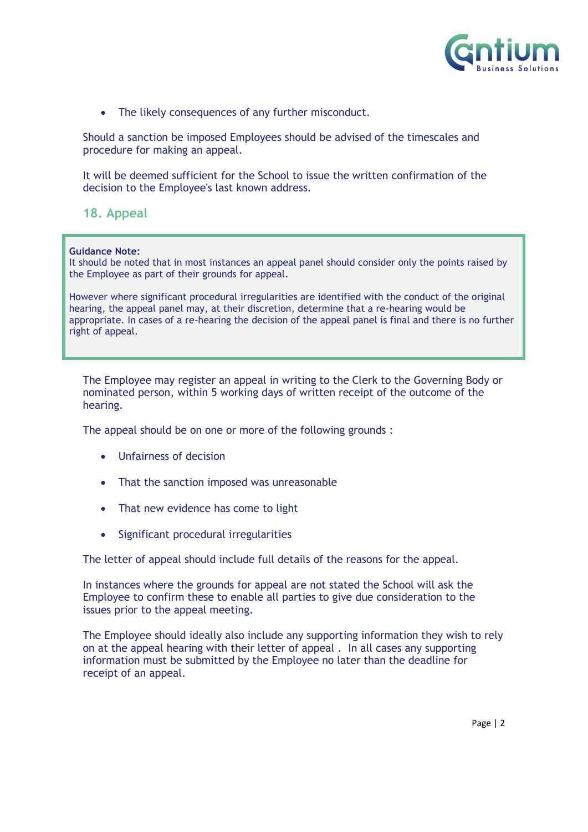

• The likely consequences of any further misconduct.

Should a sanction be imposed Employees should be advised of the timescales and procedure for making an appeal.

It will be deemed sufficient for the School to issue the written confirmation of the decision to the Employee's last known address.

<span id="page-19-0"></span>**18. Appeal**

#### **Guidance Note:**

It should be noted that in most instances an appeal panel should consider only the points raised by the Employee as part of their grounds for appeal.

However where significant procedural irregularities are identified with the conduct of the original hearing, the appeal panel may, at their discretion, determine that a re-hearing would be appropriate. In cases of a re-hearing the decision of the appeal panel is final and there is no further right of appeal.

The Employee may register an appeal in writing to the Clerk to the Governing Body or nominated person, within 5 working days of written receipt of the outcome of the hearing.

The appeal should be on one or more of the following grounds :

- Unfairness of decision
- That the sanction imposed was unreasonable
- That new evidence has come to light
- Significant procedural irregularities

The letter of appeal should include full details of the reasons for the appeal.

In instances where the grounds for appeal are not stated the School will ask the Employee to confirm these to enable all parties to give due consideration to the issues prior to the appeal meeting.

The Employee should ideally also include any supporting information they wish to rely on at the appeal hearing with their letter of appeal . In all cases any supporting information must be submitted by the Employee no later than the deadline for receipt of an appeal.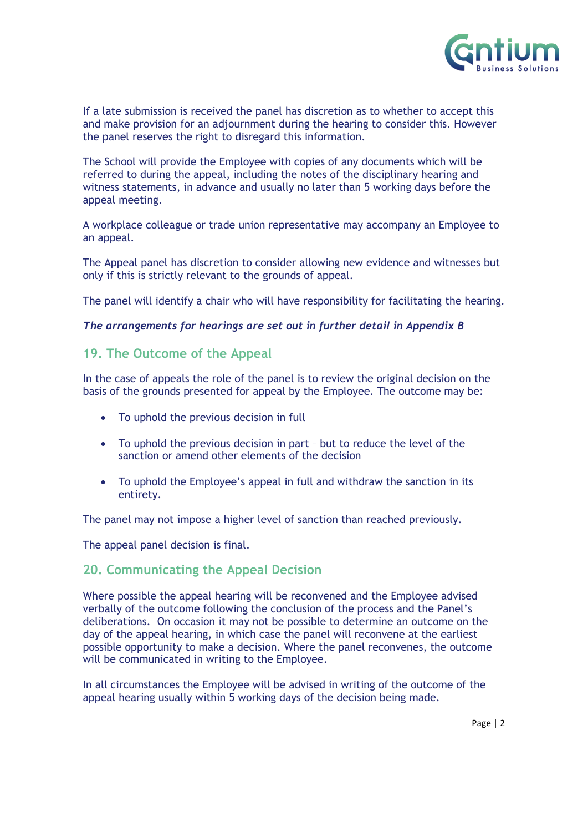

If a late submission is received the panel has discretion as to whether to accept this and make provision for an adjournment during the hearing to consider this. However the panel reserves the right to disregard this information.

The School will provide the Employee with copies of any documents which will be referred to during the appeal, including the notes of the disciplinary hearing and witness statements, in advance and usually no later than 5 working days before the appeal meeting.

A workplace colleague or trade union representative may accompany an Employee to an appeal.

The Appeal panel has discretion to consider allowing new evidence and witnesses but only if this is strictly relevant to the grounds of appeal.

The panel will identify a chair who will have responsibility for facilitating the hearing.

#### *The arrangements for hearings are set out in further detail in Appendix B*

#### <span id="page-20-0"></span>**19. The Outcome of the Appeal**

In the case of appeals the role of the panel is to review the original decision on the basis of the grounds presented for appeal by the Employee. The outcome may be:

- To uphold the previous decision in full
- To uphold the previous decision in part but to reduce the level of the sanction or amend other elements of the decision
- To uphold the Employee's appeal in full and withdraw the sanction in its entirety.

The panel may not impose a higher level of sanction than reached previously.

The appeal panel decision is final.

#### <span id="page-20-1"></span>**20. Communicating the Appeal Decision**

Where possible the appeal hearing will be reconvened and the Employee advised verbally of the outcome following the conclusion of the process and the Panel's deliberations. On occasion it may not be possible to determine an outcome on the day of the appeal hearing, in which case the panel will reconvene at the earliest possible opportunity to make a decision. Where the panel reconvenes, the outcome will be communicated in writing to the Employee.

In all circumstances the Employee will be advised in writing of the outcome of the appeal hearing usually within 5 working days of the decision being made.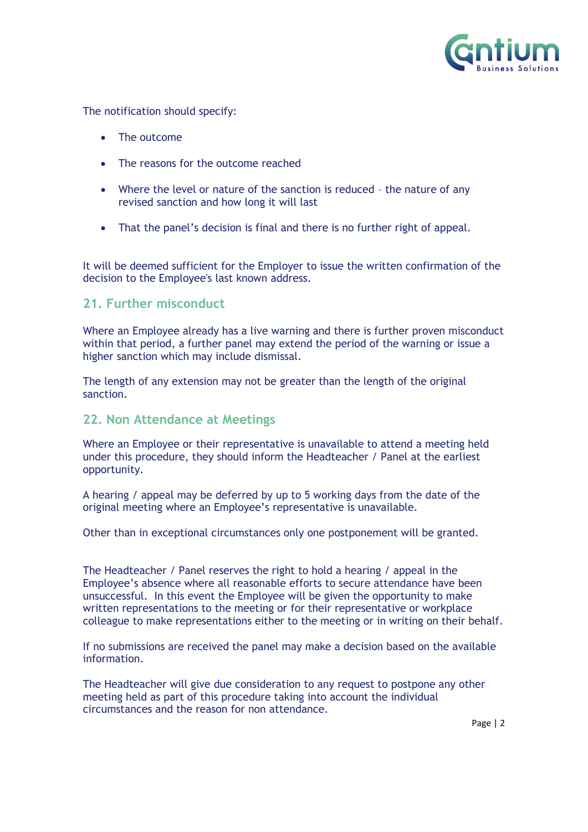

The notification should specify:

- The outcome
- The reasons for the outcome reached
- Where the level or nature of the sanction is reduced the nature of any revised sanction and how long it will last
- That the panel's decision is final and there is no further right of appeal.

It will be deemed sufficient for the Employer to issue the written confirmation of the decision to the Employee's last known address.

#### <span id="page-21-0"></span>**21. Further misconduct**

Where an Employee already has a live warning and there is further proven misconduct within that period, a further panel may extend the period of the warning or issue a higher sanction which may include dismissal.

The length of any extension may not be greater than the length of the original sanction.

#### <span id="page-21-1"></span>**22. Non Attendance at Meetings**

Where an Employee or their representative is unavailable to attend a meeting held under this procedure, they should inform the Headteacher / Panel at the earliest opportunity.

A hearing / appeal may be deferred by up to 5 working days from the date of the original meeting where an Employee's representative is unavailable.

Other than in exceptional circumstances only one postponement will be granted.

The Headteacher / Panel reserves the right to hold a hearing / appeal in the Employee's absence where all reasonable efforts to secure attendance have been unsuccessful. In this event the Employee will be given the opportunity to make written representations to the meeting or for their representative or workplace colleague to make representations either to the meeting or in writing on their behalf.

If no submissions are received the panel may make a decision based on the available information.

The Headteacher will give due consideration to any request to postpone any other meeting held as part of this procedure taking into account the individual circumstances and the reason for non attendance.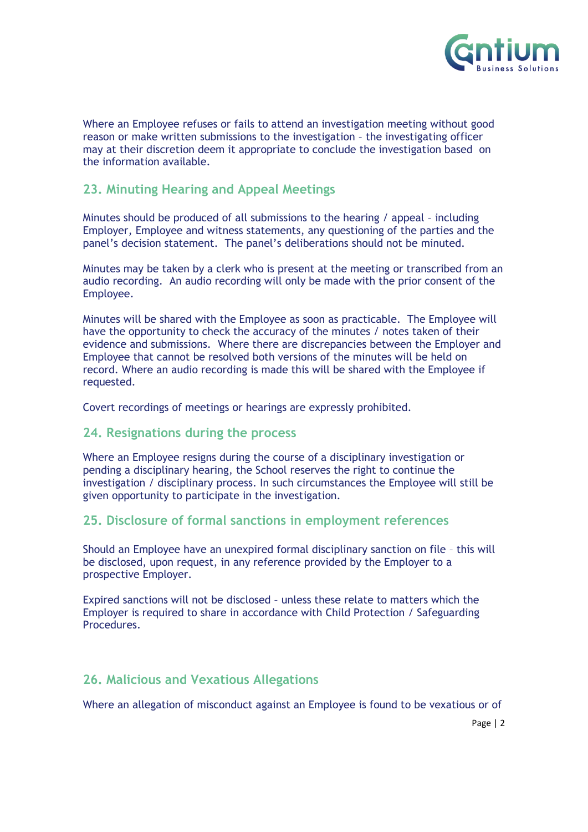

Where an Employee refuses or fails to attend an investigation meeting without good reason or make written submissions to the investigation – the investigating officer may at their discretion deem it appropriate to conclude the investigation based on the information available.

#### <span id="page-22-0"></span>**23. Minuting Hearing and Appeal Meetings**

Minutes should be produced of all submissions to the hearing / appeal – including Employer, Employee and witness statements, any questioning of the parties and the panel's decision statement. The panel's deliberations should not be minuted.

Minutes may be taken by a clerk who is present at the meeting or transcribed from an audio recording. An audio recording will only be made with the prior consent of the Employee.

Minutes will be shared with the Employee as soon as practicable. The Employee will have the opportunity to check the accuracy of the minutes / notes taken of their evidence and submissions. Where there are discrepancies between the Employer and Employee that cannot be resolved both versions of the minutes will be held on record. Where an audio recording is made this will be shared with the Employee if requested.

Covert recordings of meetings or hearings are expressly prohibited.

#### <span id="page-22-1"></span>**24. Resignations during the process**

Where an Employee resigns during the course of a disciplinary investigation or pending a disciplinary hearing, the School reserves the right to continue the investigation / disciplinary process. In such circumstances the Employee will still be given opportunity to participate in the investigation.

#### <span id="page-22-2"></span>**25. Disclosure of formal sanctions in employment references**

Should an Employee have an unexpired formal disciplinary sanction on file – this will be disclosed, upon request, in any reference provided by the Employer to a prospective Employer.

Expired sanctions will not be disclosed – unless these relate to matters which the Employer is required to share in accordance with Child Protection / Safeguarding Procedures.

#### <span id="page-22-3"></span>**26. Malicious and Vexatious Allegations**

Where an allegation of misconduct against an Employee is found to be vexatious or of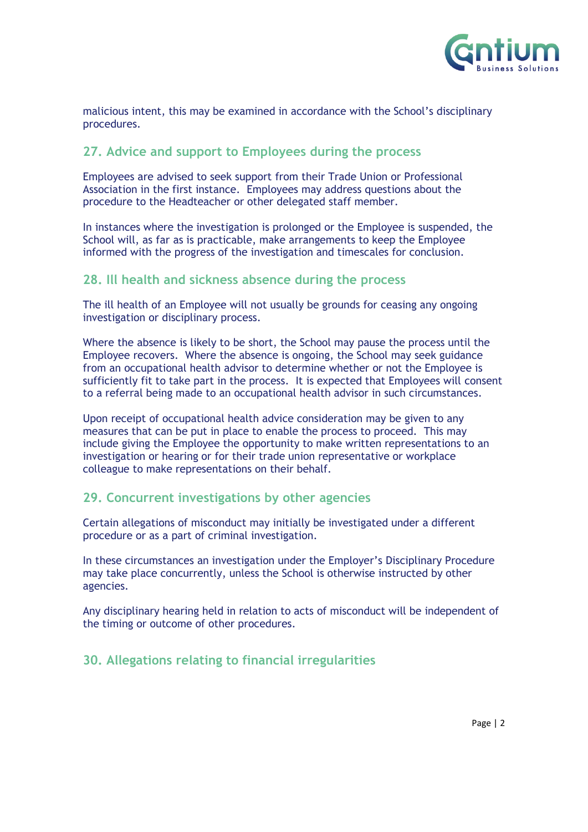

malicious intent, this may be examined in accordance with the School's disciplinary procedures.

#### <span id="page-23-0"></span>**27. Advice and support to Employees during the process**

Employees are advised to seek support from their Trade Union or Professional Association in the first instance. Employees may address questions about the procedure to the Headteacher or other delegated staff member.

In instances where the investigation is prolonged or the Employee is suspended, the School will, as far as is practicable, make arrangements to keep the Employee informed with the progress of the investigation and timescales for conclusion.

#### <span id="page-23-1"></span>**28. Ill health and sickness absence during the process**

The ill health of an Employee will not usually be grounds for ceasing any ongoing investigation or disciplinary process.

Where the absence is likely to be short, the School may pause the process until the Employee recovers. Where the absence is ongoing, the School may seek guidance from an occupational health advisor to determine whether or not the Employee is sufficiently fit to take part in the process. It is expected that Employees will consent to a referral being made to an occupational health advisor in such circumstances.

Upon receipt of occupational health advice consideration may be given to any measures that can be put in place to enable the process to proceed. This may include giving the Employee the opportunity to make written representations to an investigation or hearing or for their trade union representative or workplace colleague to make representations on their behalf.

#### <span id="page-23-2"></span>**29. Concurrent investigations by other agencies**

Certain allegations of misconduct may initially be investigated under a different procedure or as a part of criminal investigation.

In these circumstances an investigation under the Employer's Disciplinary Procedure may take place concurrently, unless the School is otherwise instructed by other agencies.

Any disciplinary hearing held in relation to acts of misconduct will be independent of the timing or outcome of other procedures.

<span id="page-23-3"></span>**30. Allegations relating to financial irregularities**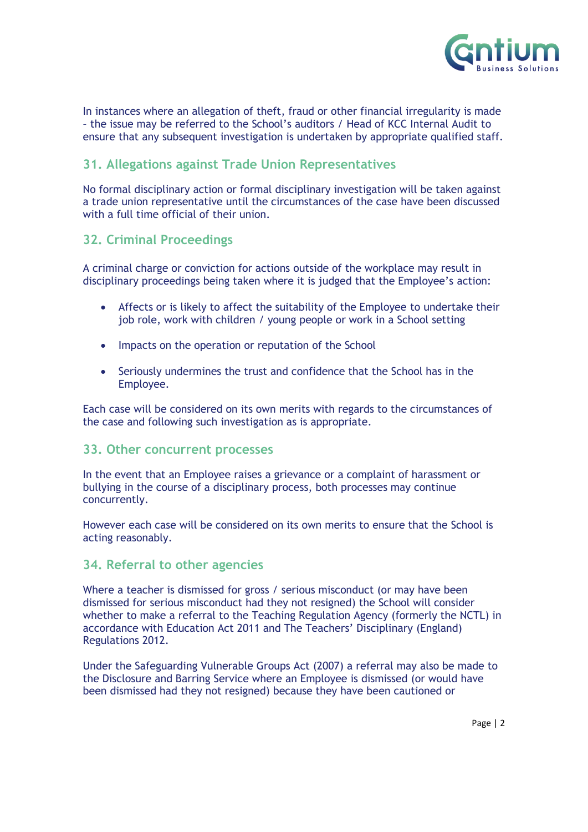

In instances where an allegation of theft, fraud or other financial irregularity is made – the issue may be referred to the School's auditors / Head of KCC Internal Audit to ensure that any subsequent investigation is undertaken by appropriate qualified staff.

#### <span id="page-24-0"></span>**31. Allegations against Trade Union Representatives**

No formal disciplinary action or formal disciplinary investigation will be taken against a trade union representative until the circumstances of the case have been discussed with a full time official of their union.

#### <span id="page-24-1"></span>**32. Criminal Proceedings**

A criminal charge or conviction for actions outside of the workplace may result in disciplinary proceedings being taken where it is judged that the Employee's action:

- Affects or is likely to affect the suitability of the Employee to undertake their job role, work with children / young people or work in a School setting
- Impacts on the operation or reputation of the School
- Seriously undermines the trust and confidence that the School has in the Employee.

Each case will be considered on its own merits with regards to the circumstances of the case and following such investigation as is appropriate.

#### **33. Other concurrent processes**

In the event that an Employee raises a grievance or a complaint of harassment or bullying in the course of a disciplinary process, both processes may continue concurrently.

However each case will be considered on its own merits to ensure that the School is acting reasonably.

#### <span id="page-24-2"></span>**34. Referral to other agencies**

Where a teacher is dismissed for gross / serious misconduct (or may have been dismissed for serious misconduct had they not resigned) the School will consider whether to make a referral to the Teaching Regulation Agency (formerly the NCTL) in accordance with Education Act 2011 and The Teachers' Disciplinary (England) Regulations 2012.

Under the Safeguarding Vulnerable Groups Act (2007) a referral may also be made to the Disclosure and Barring Service where an Employee is dismissed (or would have been dismissed had they not resigned) because they have been cautioned or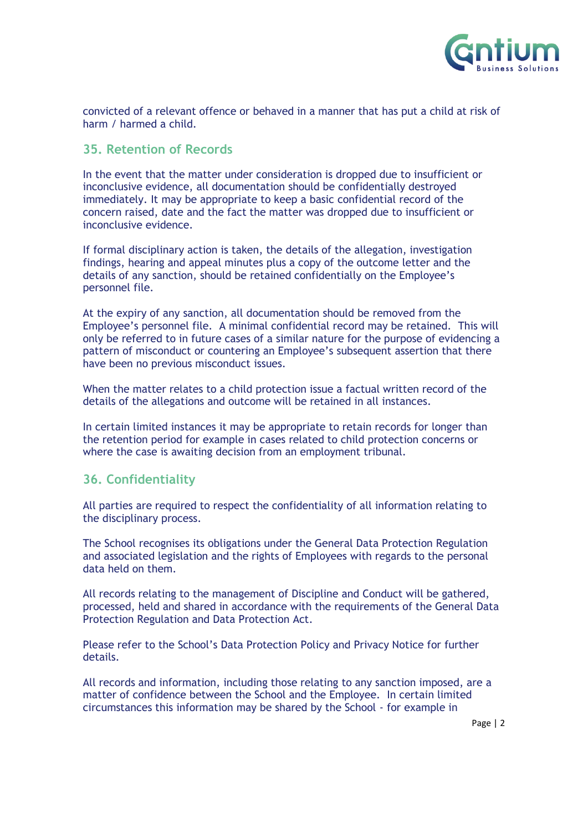

convicted of a relevant offence or behaved in a manner that has put a child at risk of harm / harmed a child.

#### <span id="page-25-0"></span>**35. Retention of Records**

In the event that the matter under consideration is dropped due to insufficient or inconclusive evidence, all documentation should be confidentially destroyed immediately. It may be appropriate to keep a basic confidential record of the concern raised, date and the fact the matter was dropped due to insufficient or inconclusive evidence.

If formal disciplinary action is taken, the details of the allegation, investigation findings, hearing and appeal minutes plus a copy of the outcome letter and the details of any sanction, should be retained confidentially on the Employee's personnel file.

At the expiry of any sanction, all documentation should be removed from the Employee's personnel file. A minimal confidential record may be retained. This will only be referred to in future cases of a similar nature for the purpose of evidencing a pattern of misconduct or countering an Employee's subsequent assertion that there have been no previous misconduct issues.

When the matter relates to a child protection issue a factual written record of the details of the allegations and outcome will be retained in all instances.

In certain limited instances it may be appropriate to retain records for longer than the retention period for example in cases related to child protection concerns or where the case is awaiting decision from an employment tribunal.

#### <span id="page-25-1"></span>**36. Confidentiality**

All parties are required to respect the confidentiality of all information relating to the disciplinary process.

The School recognises its obligations under the General Data Protection Regulation and associated legislation and the rights of Employees with regards to the personal data held on them.

All records relating to the management of Discipline and Conduct will be gathered, processed, held and shared in accordance with the requirements of the General Data Protection Regulation and Data Protection Act.

Please refer to the School's Data Protection Policy and Privacy Notice for further details.

All records and information, including those relating to any sanction imposed, are a matter of confidence between the School and the Employee. In certain limited circumstances this information may be shared by the School - for example in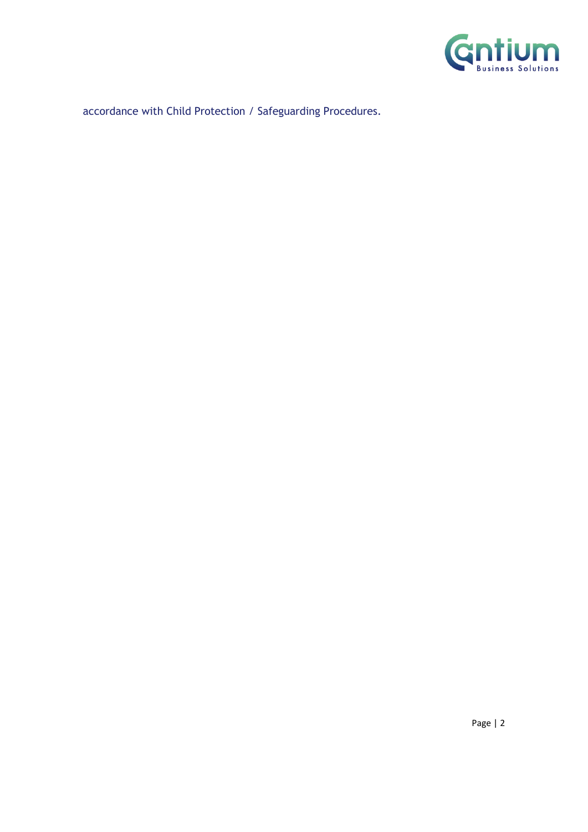

accordance with Child Protection / Safeguarding Procedures.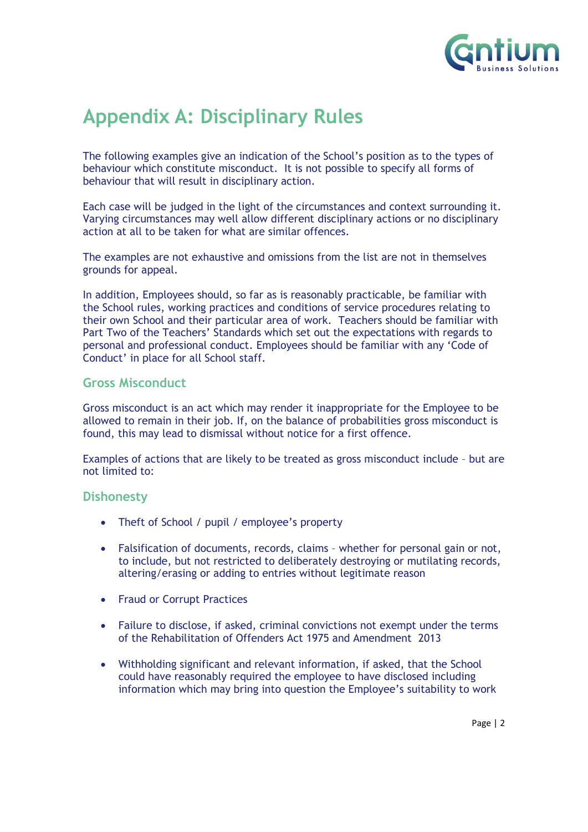

### <span id="page-27-0"></span>**Appendix A: Disciplinary Rules**

The following examples give an indication of the School's position as to the types of behaviour which constitute misconduct. It is not possible to specify all forms of behaviour that will result in disciplinary action.

Each case will be judged in the light of the circumstances and context surrounding it. Varying circumstances may well allow different disciplinary actions or no disciplinary action at all to be taken for what are similar offences.

The examples are not exhaustive and omissions from the list are not in themselves grounds for appeal.

In addition, Employees should, so far as is reasonably practicable, be familiar with the School rules, working practices and conditions of service procedures relating to their own School and their particular area of work. Teachers should be familiar with Part Two of the Teachers' Standards which set out the expectations with regards to personal and professional conduct. Employees should be familiar with any 'Code of Conduct' in place for all School staff.

#### **Gross Misconduct**

Gross misconduct is an act which may render it inappropriate for the Employee to be allowed to remain in their job. If, on the balance of probabilities gross misconduct is found, this may lead to dismissal without notice for a first offence.

Examples of actions that are likely to be treated as gross misconduct include – but are not limited to:

#### **Dishonesty**

- Theft of School / pupil / employee's property
- Falsification of documents, records, claims whether for personal gain or not, to include, but not restricted to deliberately destroying or mutilating records, altering/erasing or adding to entries without legitimate reason
- Fraud or Corrupt Practices
- Failure to disclose, if asked, criminal convictions not exempt under the terms of the Rehabilitation of Offenders Act 1975 and Amendment 2013
- Withholding significant and relevant information, if asked, that the School could have reasonably required the employee to have disclosed including information which may bring into question the Employee's suitability to work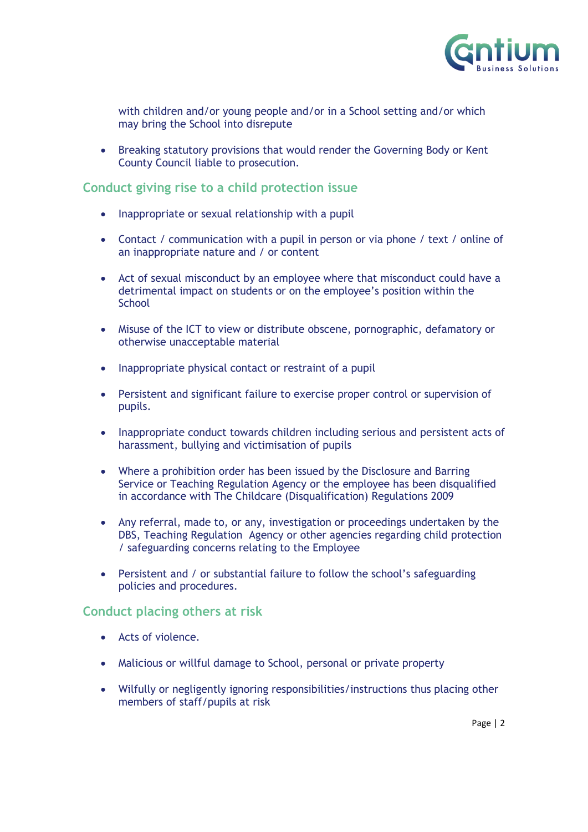

with children and/or young people and/or in a School setting and/or which may bring the School into disrepute

• Breaking statutory provisions that would render the Governing Body or Kent County Council liable to prosecution.

#### **Conduct giving rise to a child protection issue**

- Inappropriate or sexual relationship with a pupil
- Contact / communication with a pupil in person or via phone / text / online of an inappropriate nature and / or content
- Act of sexual misconduct by an employee where that misconduct could have a detrimental impact on students or on the employee's position within the **School**
- Misuse of the ICT to view or distribute obscene, pornographic, defamatory or otherwise unacceptable material
- Inappropriate physical contact or restraint of a pupil
- Persistent and significant failure to exercise proper control or supervision of pupils.
- Inappropriate conduct towards children including serious and persistent acts of harassment, bullying and victimisation of pupils
- Where a prohibition order has been issued by the Disclosure and Barring Service or Teaching Regulation Agency or the employee has been disqualified in accordance with The Childcare (Disqualification) Regulations 2009
- Any referral, made to, or any, investigation or proceedings undertaken by the DBS, Teaching Regulation Agency or other agencies regarding child protection / safeguarding concerns relating to the Employee
- Persistent and / or substantial failure to follow the school's safeguarding policies and procedures.

#### **Conduct placing others at risk**

- Acts of violence.
- Malicious or willful damage to School, personal or private property
- Wilfully or negligently ignoring responsibilities/instructions thus placing other members of staff/pupils at risk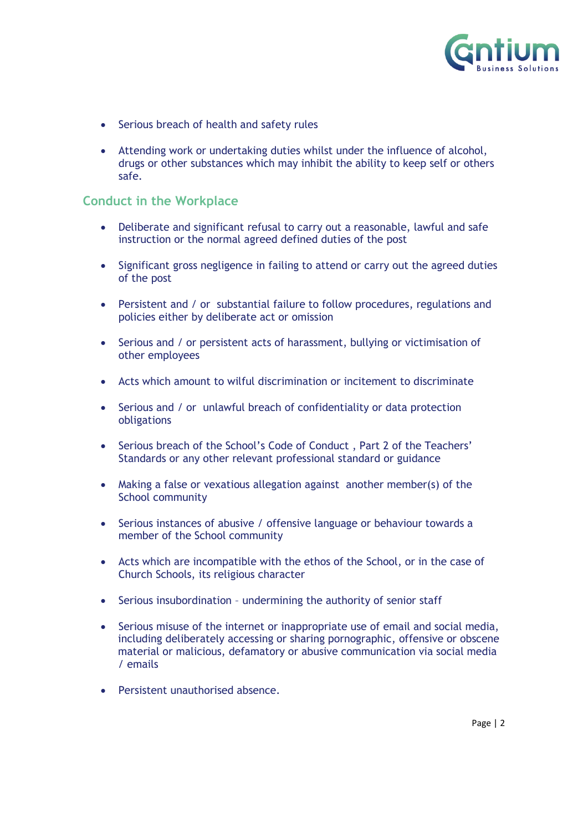

- Serious breach of health and safety rules
- Attending work or undertaking duties whilst under the influence of alcohol, drugs or other substances which may inhibit the ability to keep self or others safe.

#### **Conduct in the Workplace**

- Deliberate and significant refusal to carry out a reasonable, lawful and safe instruction or the normal agreed defined duties of the post
- Significant gross negligence in failing to attend or carry out the agreed duties of the post
- Persistent and / or substantial failure to follow procedures, regulations and policies either by deliberate act or omission
- Serious and / or persistent acts of harassment, bullying or victimisation of other employees
- Acts which amount to wilful discrimination or incitement to discriminate
- Serious and / or unlawful breach of confidentiality or data protection obligations
- Serious breach of the School's Code of Conduct , Part 2 of the Teachers' Standards or any other relevant professional standard or guidance
- Making a false or vexatious allegation against another member(s) of the School community
- Serious instances of abusive / offensive language or behaviour towards a member of the School community
- Acts which are incompatible with the ethos of the School, or in the case of Church Schools, its religious character
- Serious insubordination undermining the authority of senior staff
- Serious misuse of the internet or inappropriate use of email and social media, including deliberately accessing or sharing pornographic, offensive or obscene material or malicious, defamatory or abusive communication via social media / emails
- Persistent unauthorised absence.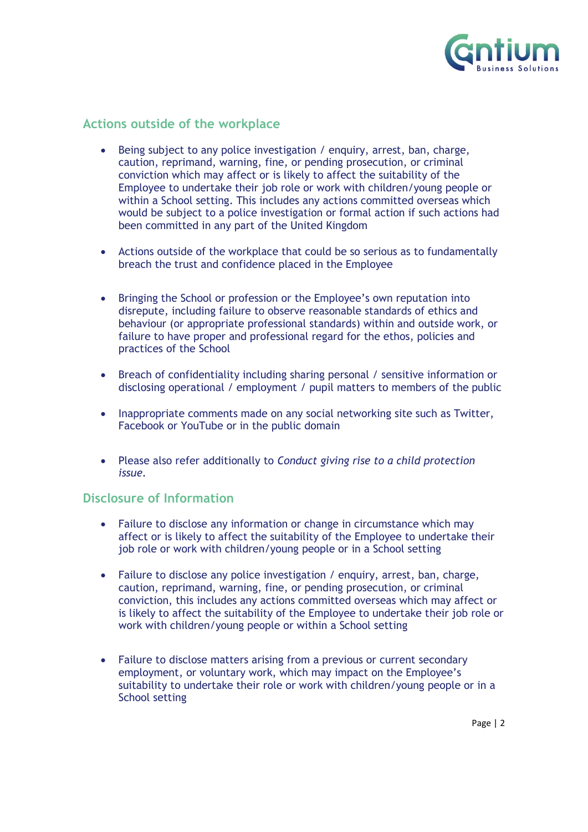

#### **Actions outside of the workplace**

- Being subject to any police investigation / enquiry, arrest, ban, charge, caution, reprimand, warning, fine, or pending prosecution, or criminal conviction which may affect or is likely to affect the suitability of the Employee to undertake their job role or work with children/young people or within a School setting. This includes any actions committed overseas which would be subject to a police investigation or formal action if such actions had been committed in any part of the United Kingdom
- Actions outside of the workplace that could be so serious as to fundamentally breach the trust and confidence placed in the Employee
- Bringing the School or profession or the Employee's own reputation into disrepute, including failure to observe reasonable standards of ethics and behaviour (or appropriate professional standards) within and outside work, or failure to have proper and professional regard for the ethos, policies and practices of the School
- Breach of confidentiality including sharing personal / sensitive information or disclosing operational / employment / pupil matters to members of the public
- Inappropriate comments made on any social networking site such as Twitter, Facebook or YouTube or in the public domain
- Please also refer additionally to *Conduct giving rise to a child protection issue.*

#### **Disclosure of Information**

- Failure to disclose any information or change in circumstance which may affect or is likely to affect the suitability of the Employee to undertake their job role or work with children/young people or in a School setting
- Failure to disclose any police investigation / enquiry, arrest, ban, charge, caution, reprimand, warning, fine, or pending prosecution, or criminal conviction, this includes any actions committed overseas which may affect or is likely to affect the suitability of the Employee to undertake their job role or work with children/young people or within a School setting
- Failure to disclose matters arising from a previous or current secondary employment, or voluntary work, which may impact on the Employee's suitability to undertake their role or work with children/young people or in a School setting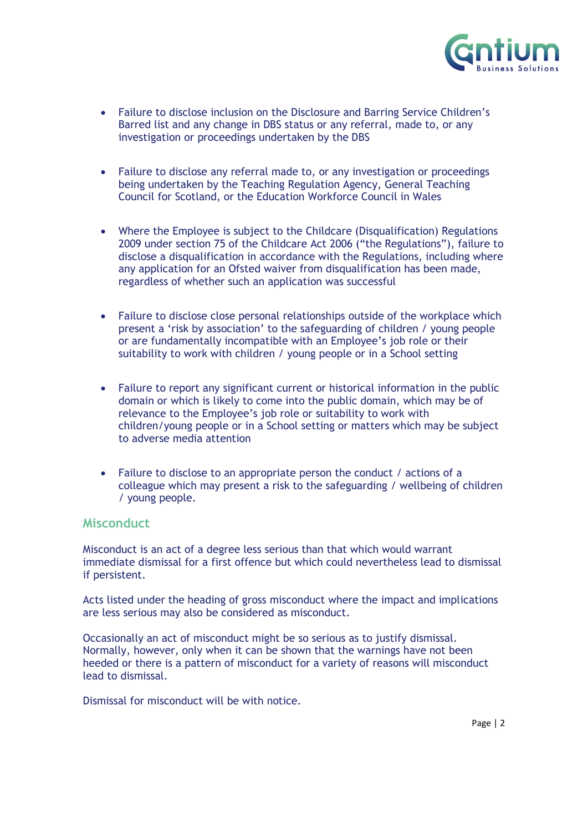

- Failure to disclose inclusion on the Disclosure and Barring Service Children's Barred list and any change in DBS status or any referral, made to, or any investigation or proceedings undertaken by the DBS
- Failure to disclose any referral made to, or any investigation or proceedings being undertaken by the Teaching Regulation Agency, General Teaching Council for Scotland, or the Education Workforce Council in Wales
- Where the Employee is subject to the Childcare (Disqualification) Regulations 2009 under section 75 of the Childcare Act 2006 ("the Regulations"), failure to disclose a disqualification in accordance with the Regulations, including where any application for an Ofsted waiver from disqualification has been made, regardless of whether such an application was successful
- Failure to disclose close personal relationships outside of the workplace which present a 'risk by association' to the safeguarding of children / young people or are fundamentally incompatible with an Employee's job role or their suitability to work with children / young people or in a School setting
- Failure to report any significant current or historical information in the public domain or which is likely to come into the public domain, which may be of relevance to the Employee's job role or suitability to work with children/young people or in a School setting or matters which may be subject to adverse media attention
- Failure to disclose to an appropriate person the conduct / actions of a colleague which may present a risk to the safeguarding / wellbeing of children / young people.

#### **Misconduct**

Misconduct is an act of a degree less serious than that which would warrant immediate dismissal for a first offence but which could nevertheless lead to dismissal if persistent.

Acts listed under the heading of gross misconduct where the impact and implications are less serious may also be considered as misconduct.

Occasionally an act of misconduct might be so serious as to justify dismissal. Normally, however, only when it can be shown that the warnings have not been heeded or there is a pattern of misconduct for a variety of reasons will misconduct lead to dismissal.

Dismissal for misconduct will be with notice.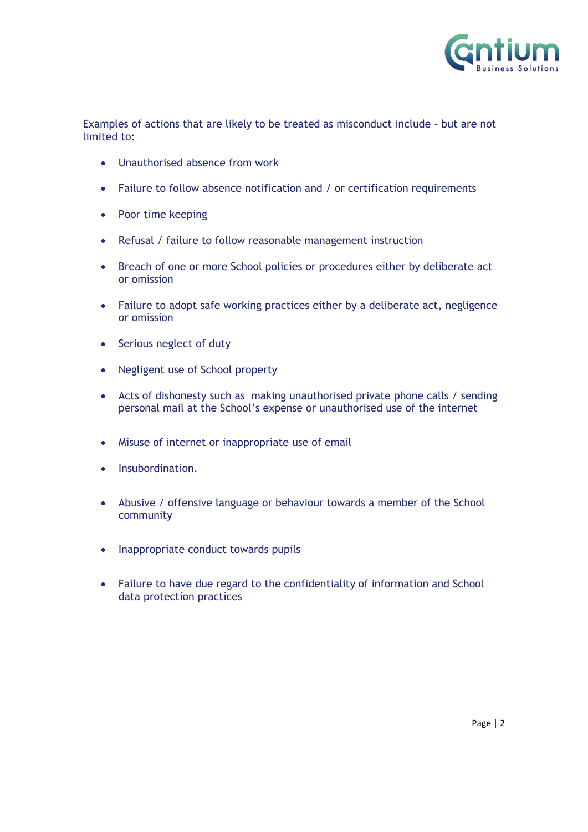

Examples of actions that are likely to be treated as misconduct include – but are not limited to:

- Unauthorised absence from work
- Failure to follow absence notification and / or certification requirements
- Poor time keeping
- Refusal / failure to follow reasonable management instruction
- Breach of one or more School policies or procedures either by deliberate act or omission
- Failure to adopt safe working practices either by a deliberate act, negligence or omission
- Serious neglect of duty
- Negligent use of School property
- Acts of dishonesty such as making unauthorised private phone calls / sending personal mail at the School's expense or unauthorised use of the internet
- Misuse of internet or inappropriate use of email
- Insubordination.
- Abusive / offensive language or behaviour towards a member of the School community
- Inappropriate conduct towards pupils
- Failure to have due regard to the confidentiality of information and School data protection practices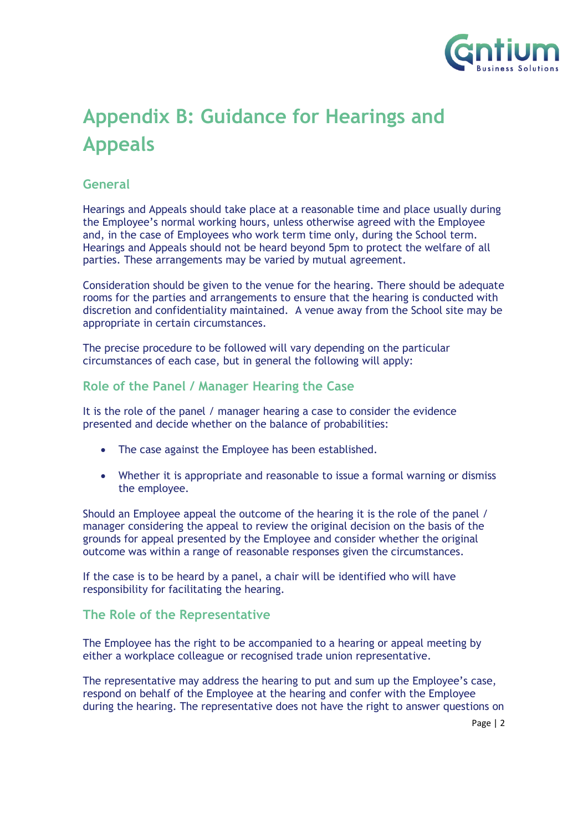

## <span id="page-33-0"></span>**Appendix B: Guidance for Hearings and Appeals**

#### **General**

Hearings and Appeals should take place at a reasonable time and place usually during the Employee's normal working hours, unless otherwise agreed with the Employee and, in the case of Employees who work term time only, during the School term. Hearings and Appeals should not be heard beyond 5pm to protect the welfare of all parties. These arrangements may be varied by mutual agreement.

Consideration should be given to the venue for the hearing. There should be adequate rooms for the parties and arrangements to ensure that the hearing is conducted with discretion and confidentiality maintained. A venue away from the School site may be appropriate in certain circumstances.

The precise procedure to be followed will vary depending on the particular circumstances of each case, but in general the following will apply:

#### **Role of the Panel / Manager Hearing the Case**

It is the role of the panel / manager hearing a case to consider the evidence presented and decide whether on the balance of probabilities:

- The case against the Employee has been established.
- Whether it is appropriate and reasonable to issue a formal warning or dismiss the employee.

Should an Employee appeal the outcome of the hearing it is the role of the panel / manager considering the appeal to review the original decision on the basis of the grounds for appeal presented by the Employee and consider whether the original outcome was within a range of reasonable responses given the circumstances.

If the case is to be heard by a panel, a chair will be identified who will have responsibility for facilitating the hearing.

#### **The Role of the Representative**

The Employee has the right to be accompanied to a hearing or appeal meeting by either a workplace colleague or recognised trade union representative.

The representative may address the hearing to put and sum up the Employee's case, respond on behalf of the Employee at the hearing and confer with the Employee during the hearing. The representative does not have the right to answer questions on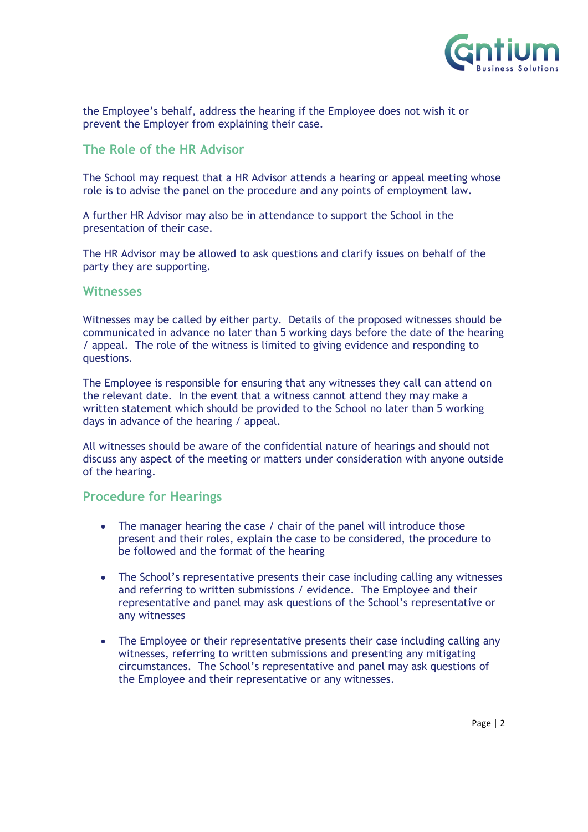

the Employee's behalf, address the hearing if the Employee does not wish it or prevent the Employer from explaining their case.

#### **The Role of the HR Advisor**

The School may request that a HR Advisor attends a hearing or appeal meeting whose role is to advise the panel on the procedure and any points of employment law.

A further HR Advisor may also be in attendance to support the School in the presentation of their case.

The HR Advisor may be allowed to ask questions and clarify issues on behalf of the party they are supporting.

#### **Witnesses**

Witnesses may be called by either party. Details of the proposed witnesses should be communicated in advance no later than 5 working days before the date of the hearing / appeal. The role of the witness is limited to giving evidence and responding to questions.

The Employee is responsible for ensuring that any witnesses they call can attend on the relevant date. In the event that a witness cannot attend they may make a written statement which should be provided to the School no later than 5 working days in advance of the hearing / appeal.

All witnesses should be aware of the confidential nature of hearings and should not discuss any aspect of the meeting or matters under consideration with anyone outside of the hearing.

#### **Procedure for Hearings**

- The manager hearing the case / chair of the panel will introduce those present and their roles, explain the case to be considered, the procedure to be followed and the format of the hearing
- The School's representative presents their case including calling any witnesses and referring to written submissions / evidence. The Employee and their representative and panel may ask questions of the School's representative or any witnesses
- The Employee or their representative presents their case including calling any witnesses, referring to written submissions and presenting any mitigating circumstances. The School's representative and panel may ask questions of the Employee and their representative or any witnesses.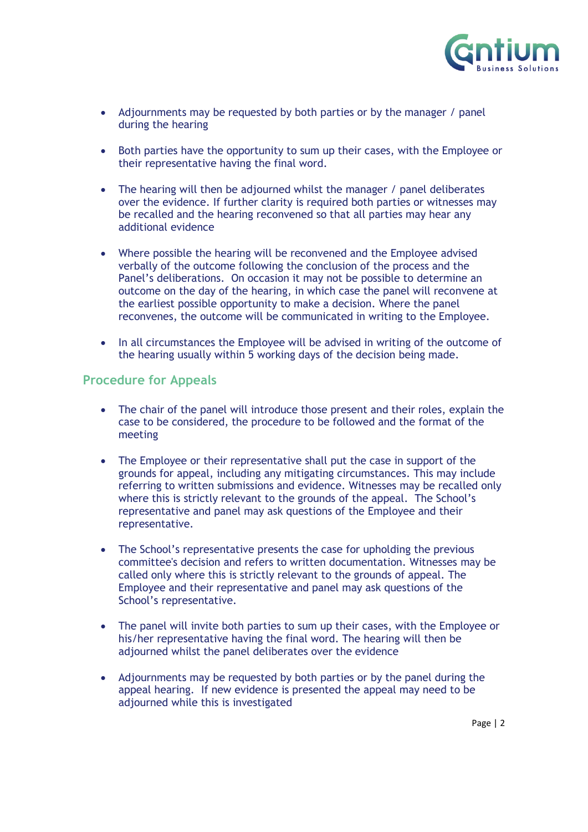

- Adjournments may be requested by both parties or by the manager / panel during the hearing
- Both parties have the opportunity to sum up their cases, with the Employee or their representative having the final word.
- The hearing will then be adjourned whilst the manager / panel deliberates over the evidence. If further clarity is required both parties or witnesses may be recalled and the hearing reconvened so that all parties may hear any additional evidence
- Where possible the hearing will be reconvened and the Employee advised verbally of the outcome following the conclusion of the process and the Panel's deliberations. On occasion it may not be possible to determine an outcome on the day of the hearing, in which case the panel will reconvene at the earliest possible opportunity to make a decision. Where the panel reconvenes, the outcome will be communicated in writing to the Employee.
- In all circumstances the Employee will be advised in writing of the outcome of the hearing usually within 5 working days of the decision being made.

#### **Procedure for Appeals**

- The chair of the panel will introduce those present and their roles, explain the case to be considered, the procedure to be followed and the format of the meeting
- The Employee or their representative shall put the case in support of the grounds for appeal, including any mitigating circumstances. This may include referring to written submissions and evidence. Witnesses may be recalled only where this is strictly relevant to the grounds of the appeal. The School's representative and panel may ask questions of the Employee and their representative.
- The School's representative presents the case for upholding the previous committee's decision and refers to written documentation. Witnesses may be called only where this is strictly relevant to the grounds of appeal. The Employee and their representative and panel may ask questions of the School's representative.
- The panel will invite both parties to sum up their cases, with the Employee or his/her representative having the final word. The hearing will then be adjourned whilst the panel deliberates over the evidence
- Adjournments may be requested by both parties or by the panel during the appeal hearing. If new evidence is presented the appeal may need to be adjourned while this is investigated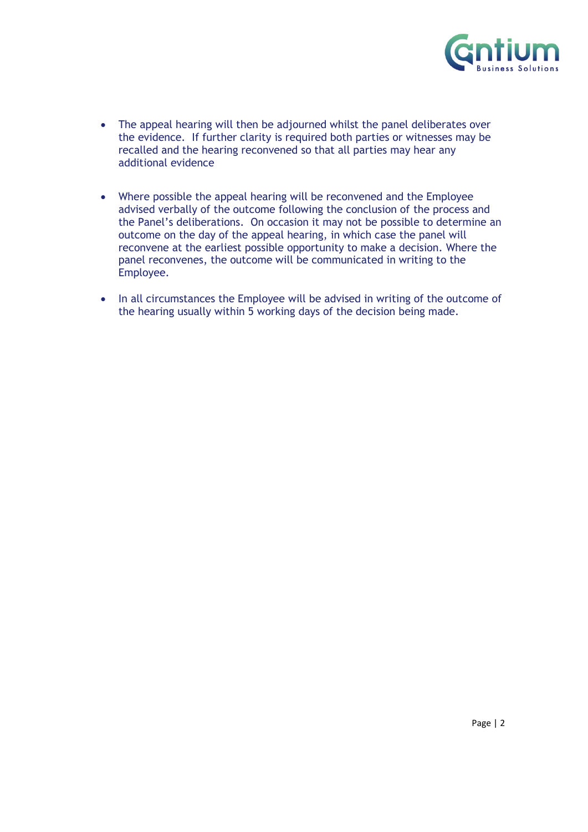

- The appeal hearing will then be adjourned whilst the panel deliberates over the evidence. If further clarity is required both parties or witnesses may be recalled and the hearing reconvened so that all parties may hear any additional evidence
- Where possible the appeal hearing will be reconvened and the Employee advised verbally of the outcome following the conclusion of the process and the Panel's deliberations. On occasion it may not be possible to determine an outcome on the day of the appeal hearing, in which case the panel will reconvene at the earliest possible opportunity to make a decision. Where the panel reconvenes, the outcome will be communicated in writing to the Employee.
- In all circumstances the Employee will be advised in writing of the outcome of the hearing usually within 5 working days of the decision being made.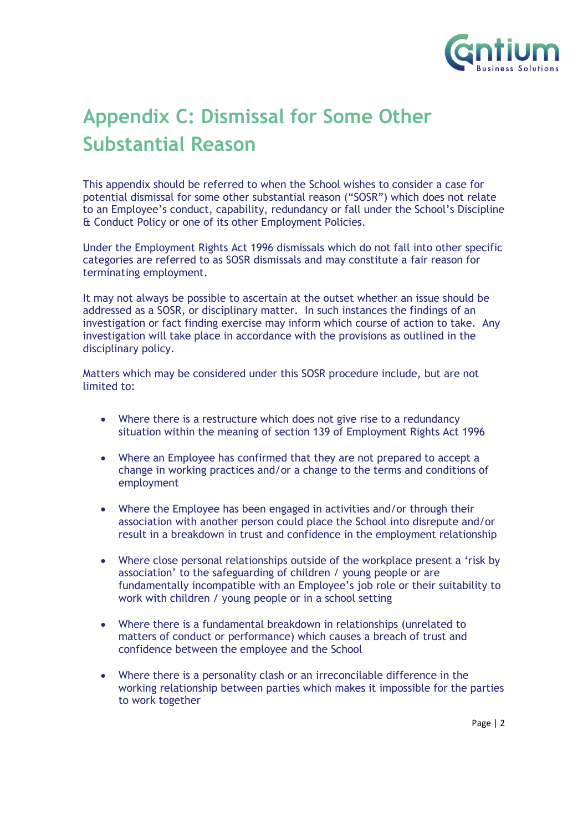

## <span id="page-37-0"></span>**Appendix C: Dismissal for Some Other Substantial Reason**

This appendix should be referred to when the School wishes to consider a case for potential dismissal for some other substantial reason ("SOSR") which does not relate to an Employee's conduct, capability, redundancy or fall under the School's Discipline & Conduct Policy or one of its other Employment Policies.

Under the Employment Rights Act 1996 dismissals which do not fall into other specific categories are referred to as SOSR dismissals and may constitute a fair reason for terminating employment.

It may not always be possible to ascertain at the outset whether an issue should be addressed as a SOSR, or disciplinary matter. In such instances the findings of an investigation or fact finding exercise may inform which course of action to take. Any investigation will take place in accordance with the provisions as outlined in the disciplinary policy.

Matters which may be considered under this SOSR procedure include, but are not limited to:

- Where there is a restructure which does not give rise to a redundancy situation within the meaning of section 139 of Employment Rights Act 1996
- Where an Employee has confirmed that they are not prepared to accept a change in working practices and/or a change to the terms and conditions of employment
- Where the Employee has been engaged in activities and/or through their association with another person could place the School into disrepute and/or result in a breakdown in trust and confidence in the employment relationship
- Where close personal relationships outside of the workplace present a 'risk by association' to the safeguarding of children / young people or are fundamentally incompatible with an Employee's job role or their suitability to work with children / young people or in a school setting
- Where there is a fundamental breakdown in relationships (unrelated to matters of conduct or performance) which causes a breach of trust and confidence between the employee and the School
- Where there is a personality clash or an irreconcilable difference in the working relationship between parties which makes it impossible for the parties to work together

Page | 2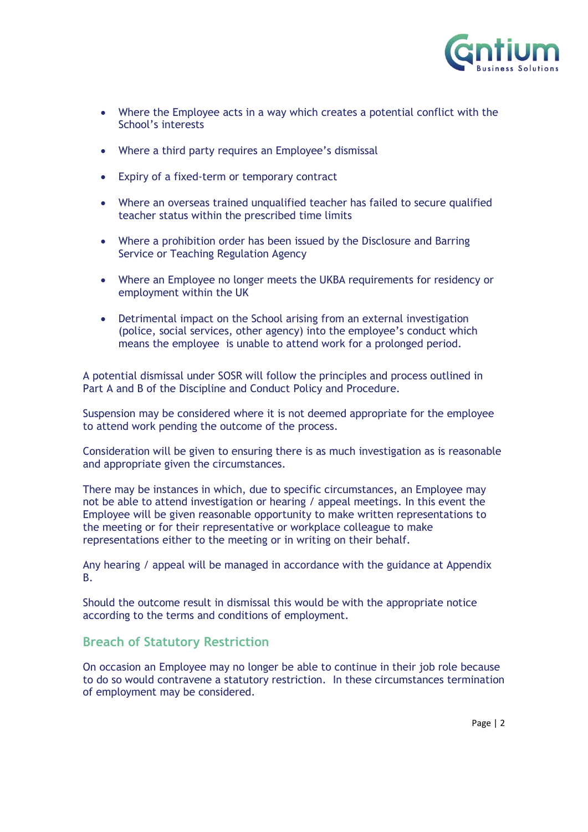

- Where the Employee acts in a way which creates a potential conflict with the School's interests
- Where a third party requires an Employee's dismissal
- Expiry of a fixed-term or temporary contract
- Where an overseas trained unqualified teacher has failed to secure qualified teacher status within the prescribed time limits
- Where a prohibition order has been issued by the Disclosure and Barring Service or Teaching Regulation Agency
- Where an Employee no longer meets the UKBA requirements for residency or employment within the UK
- Detrimental impact on the School arising from an external investigation (police, social services, other agency) into the employee's conduct which means the employee is unable to attend work for a prolonged period.

A potential dismissal under SOSR will follow the principles and process outlined in Part A and B of the Discipline and Conduct Policy and Procedure.

Suspension may be considered where it is not deemed appropriate for the employee to attend work pending the outcome of the process.

Consideration will be given to ensuring there is as much investigation as is reasonable and appropriate given the circumstances.

There may be instances in which, due to specific circumstances, an Employee may not be able to attend investigation or hearing / appeal meetings. In this event the Employee will be given reasonable opportunity to make written representations to the meeting or for their representative or workplace colleague to make representations either to the meeting or in writing on their behalf.

Any hearing / appeal will be managed in accordance with the guidance at Appendix B.

Should the outcome result in dismissal this would be with the appropriate notice according to the terms and conditions of employment.

#### **Breach of Statutory Restriction**

On occasion an Employee may no longer be able to continue in their job role because to do so would contravene a statutory restriction. In these circumstances termination of employment may be considered.